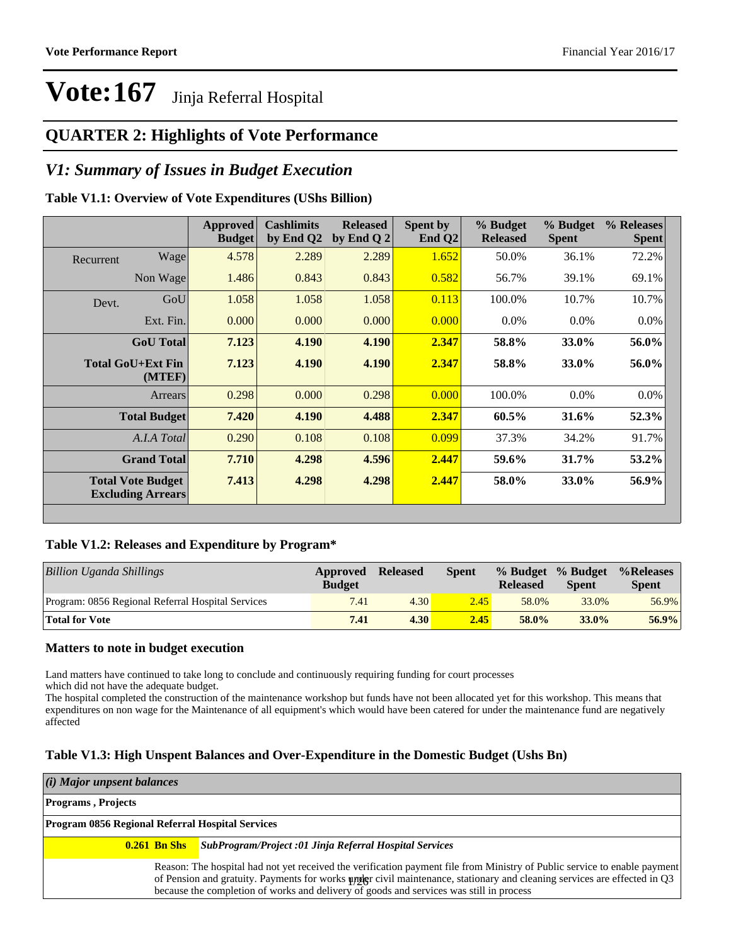### **QUARTER 2: Highlights of Vote Performance**

### *V1: Summary of Issues in Budget Execution*

### **Table V1.1: Overview of Vote Expenditures (UShs Billion)**

|           |                                                      | Approved<br><b>Budget</b> | <b>Cashlimits</b><br>by End Q2 | <b>Released</b><br>by End Q $2$ | Spent by<br>End $Q2$ | % Budget<br><b>Released</b> | % Budget<br><b>Spent</b> | % Releases<br><b>Spent</b> |
|-----------|------------------------------------------------------|---------------------------|--------------------------------|---------------------------------|----------------------|-----------------------------|--------------------------|----------------------------|
| Recurrent | Wage                                                 | 4.578                     | 2.289                          | 2.289                           | 1.652                | 50.0%                       | 36.1%                    | 72.2%                      |
|           | Non Wage                                             | 1.486                     | 0.843                          | 0.843                           | 0.582                | 56.7%                       | 39.1%                    | 69.1%                      |
| Devt.     | GoU                                                  | 1.058                     | 1.058                          | 1.058                           | 0.113                | 100.0%                      | 10.7%                    | 10.7%                      |
|           | Ext. Fin.                                            | 0.000                     | 0.000                          | 0.000                           | 0.000                | $0.0\%$                     | $0.0\%$                  | $0.0\%$                    |
|           | <b>GoU</b> Total                                     | 7.123                     | 4.190                          | 4.190                           | 2.347                | 58.8%                       | 33.0%                    | 56.0%                      |
|           | <b>Total GoU+Ext Fin</b><br>(MTEF)                   | 7.123                     | 4.190                          | 4.190                           | 2.347                | 58.8%                       | 33.0%                    | 56.0%                      |
|           | Arrears                                              | 0.298                     | 0.000                          | 0.298                           | 0.000                | 100.0%                      | $0.0\%$                  | 0.0%                       |
|           | <b>Total Budget</b>                                  | 7.420                     | 4.190                          | 4.488                           | 2.347                | 60.5%                       | 31.6%                    | 52.3%                      |
|           | A.I.A Total                                          | 0.290                     | 0.108                          | 0.108                           | 0.099                | 37.3%                       | 34.2%                    | 91.7%                      |
|           | <b>Grand Total</b>                                   | 7.710                     | 4.298                          | 4.596                           | 2.447                | 59.6%                       | 31.7%                    | 53.2%                      |
|           | <b>Total Vote Budget</b><br><b>Excluding Arrears</b> | 7.413                     | 4.298                          | 4.298                           | 2.447                | 58.0%                       | 33.0%                    | 56.9%                      |

### **Table V1.2: Releases and Expenditure by Program\***

| Billion Uganda Shillings                          | Approved<br><b>Budget</b> | <b>Released</b> | Spent | <b>Released</b> | % Budget % Budget<br><b>Spent</b> | %Releases<br><b>Spent</b> |
|---------------------------------------------------|---------------------------|-----------------|-------|-----------------|-----------------------------------|---------------------------|
| Program: 0856 Regional Referral Hospital Services | 7.41                      | 4.30            | 2.45  | 58.0%           | 33.0%                             | 56.9%                     |
| <b>Total for Vote</b>                             | 7.41                      | 4.30            | 2.45  | 58.0%           | $33.0\%$                          | $56.9\%$                  |

### **Matters to note in budget execution**

Land matters have continued to take long to conclude and continuously requiring funding for court processes

which did not have the adequate budget.

The hospital completed the construction of the maintenance workshop but funds have not been allocated yet for this workshop. This means that expenditures on non wage for the Maintenance of all equipment's which would have been catered for under the maintenance fund are negatively affected

### **Table V1.3: High Unspent Balances and Over-Expenditure in the Domestic Budget (Ushs Bn)**

#### *(i) Major unpsent balances*

#### **Programs , Projects**

| <b>Program 0856 Regional Referral Hospital Services</b> |                                                                                                                                                                                                                                                                                                                                                  |  |  |  |  |  |  |
|---------------------------------------------------------|--------------------------------------------------------------------------------------------------------------------------------------------------------------------------------------------------------------------------------------------------------------------------------------------------------------------------------------------------|--|--|--|--|--|--|
|                                                         | <b>0.261 Bn Shs</b> SubProgram/Project :01 Jinja Referral Hospital Services                                                                                                                                                                                                                                                                      |  |  |  |  |  |  |
|                                                         | Reason: The hospital had not yet received the verification payment file from Ministry of Public service to enable payment<br>of Pension and gratuity. Payments for works under civil maintenance, stationary and cleaning services are effected in Q3<br>because the completion of works and delivery of goods and services was still in process |  |  |  |  |  |  |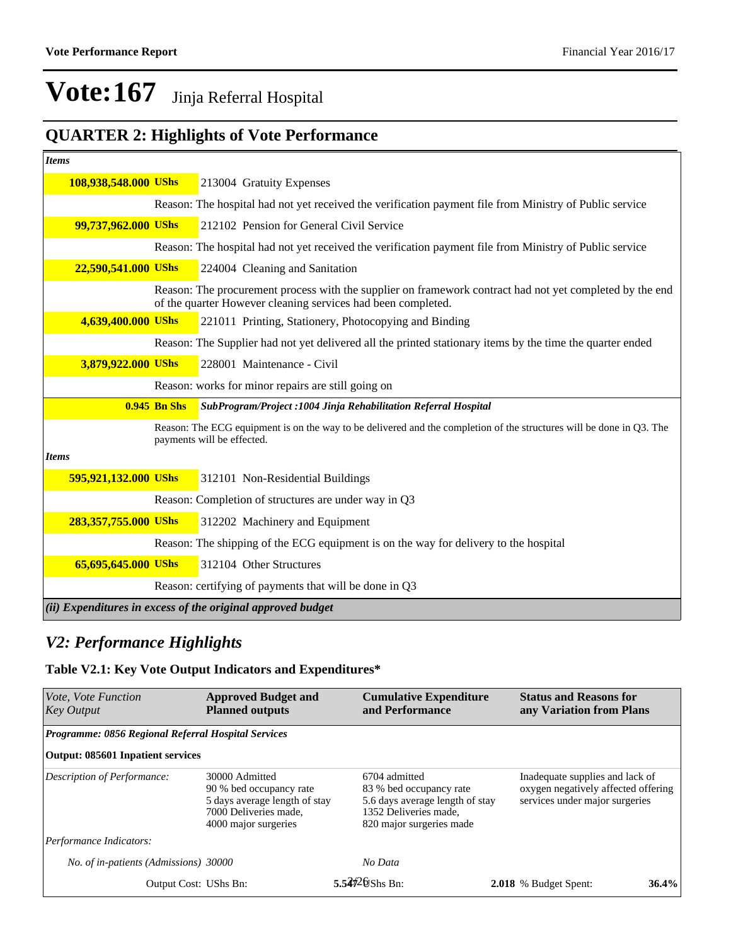### **QUARTER 2: Highlights of Vote Performance**

| <b>Items</b>         |                     |                                                                                                                                                                          |
|----------------------|---------------------|--------------------------------------------------------------------------------------------------------------------------------------------------------------------------|
| 108,938,548.000 UShs |                     | 213004 Gratuity Expenses                                                                                                                                                 |
|                      |                     | Reason: The hospital had not yet received the verification payment file from Ministry of Public service                                                                  |
| 99,737,962.000 UShs  |                     | 212102 Pension for General Civil Service                                                                                                                                 |
|                      |                     | Reason: The hospital had not yet received the verification payment file from Ministry of Public service                                                                  |
| 22,590,541.000 UShs  |                     | 224004 Cleaning and Sanitation                                                                                                                                           |
|                      |                     | Reason: The procurement process with the supplier on framework contract had not yet completed by the end<br>of the quarter However cleaning services had been completed. |
| 4,639,400.000 UShs   |                     | 221011 Printing, Stationery, Photocopying and Binding                                                                                                                    |
|                      |                     | Reason: The Supplier had not yet delivered all the printed stationary items by the time the quarter ended                                                                |
| 3,879,922.000 UShs   |                     | 228001 Maintenance - Civil                                                                                                                                               |
|                      |                     | Reason: works for minor repairs are still going on                                                                                                                       |
|                      | <b>0.945 Bn Shs</b> | SubProgram/Project: 1004 Jinja Rehabilitation Referral Hospital                                                                                                          |
|                      |                     | Reason: The ECG equipment is on the way to be delivered and the completion of the structures will be done in Q3. The<br>payments will be effected.                       |
| <b>Items</b>         |                     |                                                                                                                                                                          |
| 595,921,132.000 UShs |                     | 312101 Non-Residential Buildings                                                                                                                                         |
|                      |                     | Reason: Completion of structures are under way in Q3                                                                                                                     |
| 283,357,755.000 UShs |                     | 312202 Machinery and Equipment                                                                                                                                           |
|                      |                     | Reason: The shipping of the ECG equipment is on the way for delivery to the hospital                                                                                     |
| 65,695,645.000 UShs  |                     | 312104 Other Structures                                                                                                                                                  |
|                      |                     | Reason: certifying of payments that will be done in Q3                                                                                                                   |
|                      |                     | (ii) Expenditures in excess of the original approved budget                                                                                                              |

### *V2: Performance Highlights*

### **Table V2.1: Key Vote Output Indicators and Expenditures\***

| Vote, Vote Function<br><b>Key Output</b>                   | <b>Approved Budget and</b><br><b>Planned outputs</b>                                                                        |  |                                                                                                                                  | <b>Cumulative Expenditure</b> | <b>Status and Reasons for</b><br>any Variation from Plans                                                |       |
|------------------------------------------------------------|-----------------------------------------------------------------------------------------------------------------------------|--|----------------------------------------------------------------------------------------------------------------------------------|-------------------------------|----------------------------------------------------------------------------------------------------------|-------|
| <b>Programme: 0856 Regional Referral Hospital Services</b> |                                                                                                                             |  |                                                                                                                                  |                               |                                                                                                          |       |
| <b>Output: 085601 Inpatient services</b>                   |                                                                                                                             |  |                                                                                                                                  |                               |                                                                                                          |       |
| Description of Performance:                                | 30000 Admitted<br>90 % bed occupancy rate<br>5 days average length of stay<br>7000 Deliveries made.<br>4000 major surgeries |  | 6704 admitted<br>83 % bed occupancy rate<br>5.6 days average length of stay<br>1352 Deliveries made.<br>820 major surgeries made |                               | Inadequate supplies and lack of<br>oxygen negatively affected offering<br>services under major surgeries |       |
| Performance Indicators:                                    |                                                                                                                             |  |                                                                                                                                  |                               |                                                                                                          |       |
| No. of in-patients (Admissions) 30000                      |                                                                                                                             |  | No Data                                                                                                                          |                               |                                                                                                          |       |
| Output Cost: UShs Bn:                                      |                                                                                                                             |  | 5.54 $\frac{4}{2}$ 6 Shs Bn:                                                                                                     |                               | 2.018 % Budget Spent:                                                                                    | 36.4% |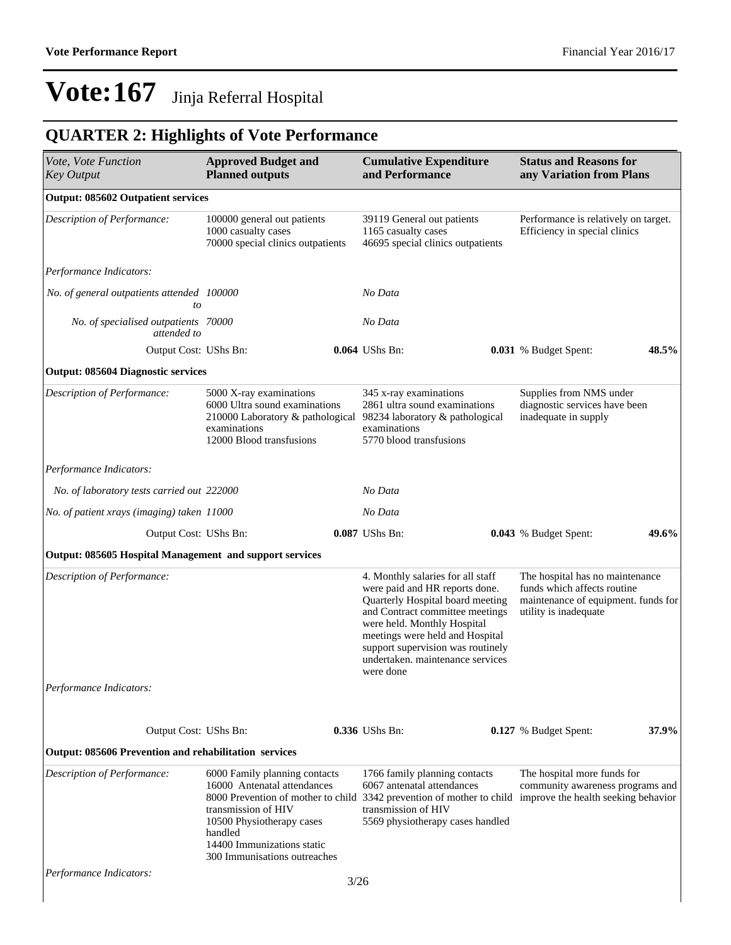### **QUARTER 2: Highlights of Vote Performance**

| Vote, Vote Function<br><b>Key Output</b>                     | <b>Approved Budget and</b><br><b>Planned outputs</b>                                                                                                                                      |      | <b>Cumulative Expenditure</b><br>and Performance                                                                                                                                                                                                                                                   |  | <b>Status and Reasons for</b><br>any Variation from Plans                                                                      |       |
|--------------------------------------------------------------|-------------------------------------------------------------------------------------------------------------------------------------------------------------------------------------------|------|----------------------------------------------------------------------------------------------------------------------------------------------------------------------------------------------------------------------------------------------------------------------------------------------------|--|--------------------------------------------------------------------------------------------------------------------------------|-------|
| <b>Output: 085602 Outpatient services</b>                    |                                                                                                                                                                                           |      |                                                                                                                                                                                                                                                                                                    |  |                                                                                                                                |       |
| Description of Performance:                                  | 100000 general out patients<br>1000 casualty cases<br>70000 special clinics outpatients                                                                                                   |      | 39119 General out patients<br>1165 casualty cases<br>46695 special clinics outpatients                                                                                                                                                                                                             |  | Performance is relatively on target.<br>Efficiency in special clinics                                                          |       |
| Performance Indicators:                                      |                                                                                                                                                                                           |      |                                                                                                                                                                                                                                                                                                    |  |                                                                                                                                |       |
| No. of general outpatients attended 100000<br>to             |                                                                                                                                                                                           |      | No Data                                                                                                                                                                                                                                                                                            |  |                                                                                                                                |       |
| No. of specialised outpatients 70000<br>attended to          |                                                                                                                                                                                           |      | No Data                                                                                                                                                                                                                                                                                            |  |                                                                                                                                |       |
| Output Cost: UShs Bn:                                        |                                                                                                                                                                                           |      | 0.064 UShs Bn:                                                                                                                                                                                                                                                                                     |  | 0.031 % Budget Spent:                                                                                                          | 48.5% |
| <b>Output: 085604 Diagnostic services</b>                    |                                                                                                                                                                                           |      |                                                                                                                                                                                                                                                                                                    |  |                                                                                                                                |       |
| Description of Performance:                                  | 5000 X-ray examinations<br>6000 Ultra sound examinations<br>210000 Laboratory & pathological<br>examinations<br>12000 Blood transfusions                                                  |      | 345 x-ray examinations<br>2861 ultra sound examinations<br>98234 laboratory & pathological<br>examinations<br>5770 blood transfusions                                                                                                                                                              |  | Supplies from NMS under<br>diagnostic services have been<br>inadequate in supply                                               |       |
| Performance Indicators:                                      |                                                                                                                                                                                           |      |                                                                                                                                                                                                                                                                                                    |  |                                                                                                                                |       |
| No. of laboratory tests carried out 222000                   |                                                                                                                                                                                           |      | No Data                                                                                                                                                                                                                                                                                            |  |                                                                                                                                |       |
| No. of patient xrays (imaging) taken 11000                   |                                                                                                                                                                                           |      | No Data                                                                                                                                                                                                                                                                                            |  |                                                                                                                                |       |
| Output Cost: UShs Bn:                                        |                                                                                                                                                                                           |      | 0.087 UShs Bn:                                                                                                                                                                                                                                                                                     |  | 0.043 % Budget Spent:                                                                                                          | 49.6% |
| Output: 085605 Hospital Management and support services      |                                                                                                                                                                                           |      |                                                                                                                                                                                                                                                                                                    |  |                                                                                                                                |       |
| Description of Performance:<br>Performance Indicators:       |                                                                                                                                                                                           |      | 4. Monthly salaries for all staff<br>were paid and HR reports done.<br>Quarterly Hospital board meeting<br>and Contract committee meetings<br>were held. Monthly Hospital<br>meetings were held and Hospital<br>support supervision was routinely<br>undertaken. maintenance services<br>were done |  | The hospital has no maintenance<br>funds which affects routine<br>maintenance of equipment. funds for<br>utility is inadequate |       |
|                                                              |                                                                                                                                                                                           |      |                                                                                                                                                                                                                                                                                                    |  |                                                                                                                                |       |
| Output Cost: UShs Bn:                                        |                                                                                                                                                                                           |      | 0.336 UShs Bn:                                                                                                                                                                                                                                                                                     |  | <b>0.127</b> % Budget Spent:                                                                                                   | 37.9% |
| <b>Output: 085606 Prevention and rehabilitation services</b> |                                                                                                                                                                                           |      |                                                                                                                                                                                                                                                                                                    |  |                                                                                                                                |       |
| Description of Performance:                                  | 6000 Family planning contacts<br>16000 Antenatal attendances<br>transmission of HIV<br>10500 Physiotherapy cases<br>handled<br>14400 Immunizations static<br>300 Immunisations outreaches |      | 1766 family planning contacts<br>6067 antenatal attendances<br>8000 Prevention of mother to child 3342 prevention of mother to child<br>transmission of HIV<br>5569 physiotherapy cases handled                                                                                                    |  | The hospital more funds for<br>community awareness programs and<br>improve the health seeking behavior                         |       |
| Performance Indicators:                                      |                                                                                                                                                                                           | 3/26 |                                                                                                                                                                                                                                                                                                    |  |                                                                                                                                |       |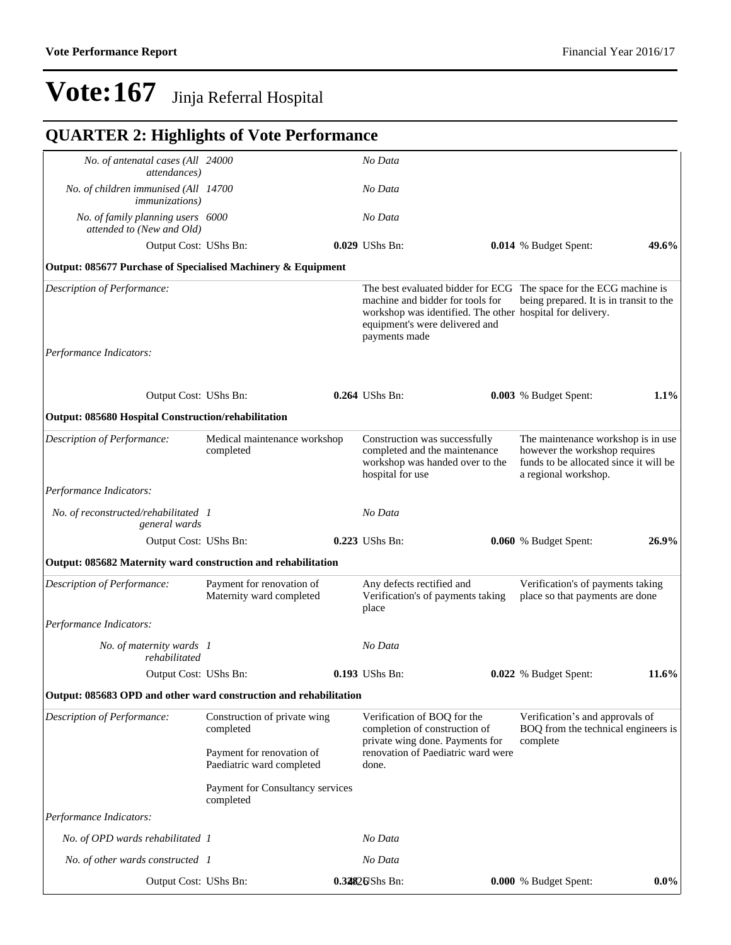### **QUARTER 2: Highlights of Vote Performance**

| No. of antenatal cases (All 24000<br><i>attendances</i> )         |                                                        | No Data                                                                                                                                                                                                                |                                                                                                                                       |         |
|-------------------------------------------------------------------|--------------------------------------------------------|------------------------------------------------------------------------------------------------------------------------------------------------------------------------------------------------------------------------|---------------------------------------------------------------------------------------------------------------------------------------|---------|
| No. of children immunised (All 14700<br><i>immunizations</i> )    |                                                        | No Data                                                                                                                                                                                                                |                                                                                                                                       |         |
| No. of family planning users 6000<br>attended to (New and Old)    |                                                        | No Data                                                                                                                                                                                                                |                                                                                                                                       |         |
| Output Cost: UShs Bn:                                             |                                                        | 0.029 UShs Bn:                                                                                                                                                                                                         | 0.014 % Budget Spent:                                                                                                                 | 49.6%   |
| Output: 085677 Purchase of Specialised Machinery & Equipment      |                                                        |                                                                                                                                                                                                                        |                                                                                                                                       |         |
| <b>Description of Performance:</b>                                |                                                        | The best evaluated bidder for ECG The space for the ECG machine is<br>machine and bidder for tools for<br>workshop was identified. The other hospital for delivery.<br>equipment's were delivered and<br>payments made | being prepared. It is in transit to the                                                                                               |         |
| Performance Indicators:                                           |                                                        |                                                                                                                                                                                                                        |                                                                                                                                       |         |
| Output Cost: UShs Bn:                                             |                                                        | $0.264$ UShs Bn:                                                                                                                                                                                                       | 0.003 % Budget Spent:                                                                                                                 | 1.1%    |
| <b>Output: 085680 Hospital Construction/rehabilitation</b>        |                                                        |                                                                                                                                                                                                                        |                                                                                                                                       |         |
| Description of Performance:                                       | Medical maintenance workshop<br>completed              | Construction was successfully<br>completed and the maintenance<br>workshop was handed over to the<br>hospital for use                                                                                                  | The maintenance workshop is in use<br>however the workshop requires<br>funds to be allocated since it will be<br>a regional workshop. |         |
| Performance Indicators:                                           |                                                        |                                                                                                                                                                                                                        |                                                                                                                                       |         |
| No. of reconstructed/rehabilitated 1<br>general wards             |                                                        | No Data                                                                                                                                                                                                                |                                                                                                                                       |         |
| Output Cost: UShs Bn:                                             |                                                        | 0.223 UShs Bn:                                                                                                                                                                                                         | 0.060 % Budget Spent:                                                                                                                 | 26.9%   |
| Output: 085682 Maternity ward construction and rehabilitation     |                                                        |                                                                                                                                                                                                                        |                                                                                                                                       |         |
| Description of Performance:                                       | Payment for renovation of<br>Maternity ward completed  | Any defects rectified and<br>Verification's of payments taking<br>place                                                                                                                                                | Verification's of payments taking<br>place so that payments are done                                                                  |         |
| Performance Indicators:                                           |                                                        |                                                                                                                                                                                                                        |                                                                                                                                       |         |
| No. of maternity wards 1<br>rehabilitated                         |                                                        | No Data                                                                                                                                                                                                                |                                                                                                                                       |         |
| Output Cost: UShs Bn:                                             |                                                        | 0.193 UShs Bn:                                                                                                                                                                                                         | 0.022 % Budget Spent:                                                                                                                 | 11.6%   |
| Output: 085683 OPD and other ward construction and rehabilitation |                                                        |                                                                                                                                                                                                                        |                                                                                                                                       |         |
| Description of Performance:                                       | Construction of private wing<br>completed              | Verification of BOQ for the<br>completion of construction of<br>private wing done. Payments for                                                                                                                        | Verification's and approvals of<br>BOQ from the technical engineers is                                                                |         |
|                                                                   | Payment for renovation of<br>Paediatric ward completed | renovation of Paediatric ward were<br>done.                                                                                                                                                                            | complete                                                                                                                              |         |
|                                                                   | Payment for Consultancy services<br>completed          |                                                                                                                                                                                                                        |                                                                                                                                       |         |
| Performance Indicators:                                           |                                                        |                                                                                                                                                                                                                        |                                                                                                                                       |         |
| No. of OPD wards rehabilitated 1                                  |                                                        | No Data                                                                                                                                                                                                                |                                                                                                                                       |         |
| No. of other wards constructed 1                                  |                                                        | No Data                                                                                                                                                                                                                |                                                                                                                                       |         |
| Output Cost: UShs Bn:                                             |                                                        | 0.32826Shs Bn:                                                                                                                                                                                                         | 0.000 % Budget Spent:                                                                                                                 | $0.0\%$ |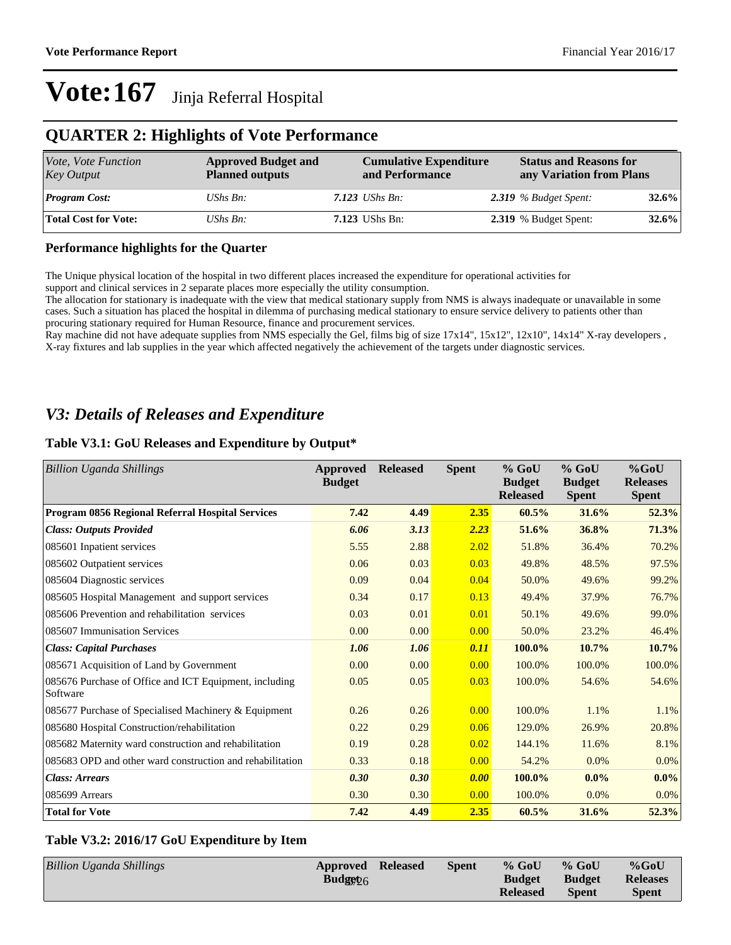### **QUARTER 2: Highlights of Vote Performance**

| Vote, Vote Function<br><b>Key Output</b> | <b>Approved Budget and</b><br><b>Planned outputs</b> | <b>Cumulative Expenditure</b><br>and Performance | <b>Status and Reasons for</b> | any Variation from Plans     |          |
|------------------------------------------|------------------------------------------------------|--------------------------------------------------|-------------------------------|------------------------------|----------|
| <b>Program Cost:</b>                     | UShs $B_n$ :                                         | $7.123$ UShs Bn:                                 |                               | $2.319$ % Budget Spent:      | $32.6\%$ |
| <b>Total Cost for Vote:</b>              | UShs $B_n$ :                                         | <b>7.123</b> UShs Bn:                            |                               | <b>2.319</b> % Budget Spent: | $32.6\%$ |

### **Performance highlights for the Quarter**

The Unique physical location of the hospital in two different places increased the expenditure for operational activities for support and clinical services in 2 separate places more especially the utility consumption.

The allocation for stationary is inadequate with the view that medical stationary supply from NMS is always inadequate or unavailable in some cases. Such a situation has placed the hospital in dilemma of purchasing medical stationary to ensure service delivery to patients other than procuring stationary required for Human Resource, finance and procurement services.

Ray machine did not have adequate supplies from NMS especially the Gel, films big of size 17x14", 15x12", 12x10", 14x14" X-ray developers , X-ray fixtures and lab supplies in the year which affected negatively the achievement of the targets under diagnostic services.

### *V3: Details of Releases and Expenditure*

### **Table V3.1: GoU Releases and Expenditure by Output\***

| <b>Billion Uganda Shillings</b>                                    | <b>Approved</b><br><b>Budget</b> | <b>Released</b> | <b>Spent</b> | $%$ GoU<br><b>Budget</b><br><b>Released</b> | $%$ GoU<br><b>Budget</b><br><b>Spent</b> | %GoU<br><b>Releases</b><br><b>Spent</b> |
|--------------------------------------------------------------------|----------------------------------|-----------------|--------------|---------------------------------------------|------------------------------------------|-----------------------------------------|
| Program 0856 Regional Referral Hospital Services                   | 7.42                             | 4.49            | 2.35         | 60.5%                                       | 31.6%                                    | 52.3%                                   |
| <b>Class: Outputs Provided</b>                                     | 6.06                             | 3.13            | 2.23         | 51.6%                                       | 36.8%                                    | 71.3%                                   |
| 085601 Inpatient services                                          | 5.55                             | 2.88            | 2.02         | 51.8%                                       | 36.4%                                    | 70.2%                                   |
| 085602 Outpatient services                                         | 0.06                             | 0.03            | 0.03         | 49.8%                                       | 48.5%                                    | 97.5%                                   |
| 085604 Diagnostic services                                         | 0.09                             | 0.04            | 0.04         | 50.0%                                       | 49.6%                                    | 99.2%                                   |
| 085605 Hospital Management and support services                    | 0.34                             | 0.17            | 0.13         | 49.4%                                       | 37.9%                                    | 76.7%                                   |
| 085606 Prevention and rehabilitation services                      | 0.03                             | 0.01            | 0.01         | 50.1%                                       | 49.6%                                    | 99.0%                                   |
| 085607 Immunisation Services                                       | 0.00                             | 0.00            | 0.00         | 50.0%                                       | 23.2%                                    | 46.4%                                   |
| <b>Class: Capital Purchases</b>                                    | 1.06                             | 1.06            | 0.11         | 100.0%                                      | $10.7\%$                                 | 10.7%                                   |
| 085671 Acquisition of Land by Government                           | 0.00                             | 0.00            | 0.00         | 100.0%                                      | 100.0%                                   | 100.0%                                  |
| 085676 Purchase of Office and ICT Equipment, including<br>Software | 0.05                             | 0.05            | 0.03         | 100.0%                                      | 54.6%                                    | 54.6%                                   |
| 085677 Purchase of Specialised Machinery & Equipment               | 0.26                             | 0.26            | 0.00         | 100.0%                                      | 1.1%                                     | 1.1%                                    |
| 085680 Hospital Construction/rehabilitation                        | 0.22                             | 0.29            | 0.06         | 129.0%                                      | 26.9%                                    | 20.8%                                   |
| 085682 Maternity ward construction and rehabilitation              | 0.19                             | 0.28            | 0.02         | 144.1%                                      | 11.6%                                    | 8.1%                                    |
| 085683 OPD and other ward construction and rehabilitation          | 0.33                             | 0.18            | 0.00         | 54.2%                                       | 0.0%                                     | 0.0%                                    |
| <b>Class: Arrears</b>                                              | 0.30                             | 0.30            | 0.00         | 100.0%                                      | $0.0\%$                                  | $0.0\%$                                 |
| 085699 Arrears                                                     | 0.30                             | 0.30            | 0.00         | 100.0%                                      | $0.0\%$                                  | 0.0%                                    |
| <b>Total for Vote</b>                                              | 7.42                             | 4.49            | 2.35         | 60.5%                                       | 31.6%                                    | 52.3%                                   |

### **Table V3.2: 2016/17 GoU Expenditure by Item**

| <b>Billion Uganda Shillings</b> | <b>Approved Released</b><br>Budget $26$ | <b>Spent</b> | $%$ GoU<br><b>Budget</b> | $%$ GoU<br><b>Budget</b> | $%$ GoU<br><b>Releases</b> |
|---------------------------------|-----------------------------------------|--------------|--------------------------|--------------------------|----------------------------|
|                                 |                                         |              | <b>Released</b>          | <b>Spent</b>             | <b>Spent</b>               |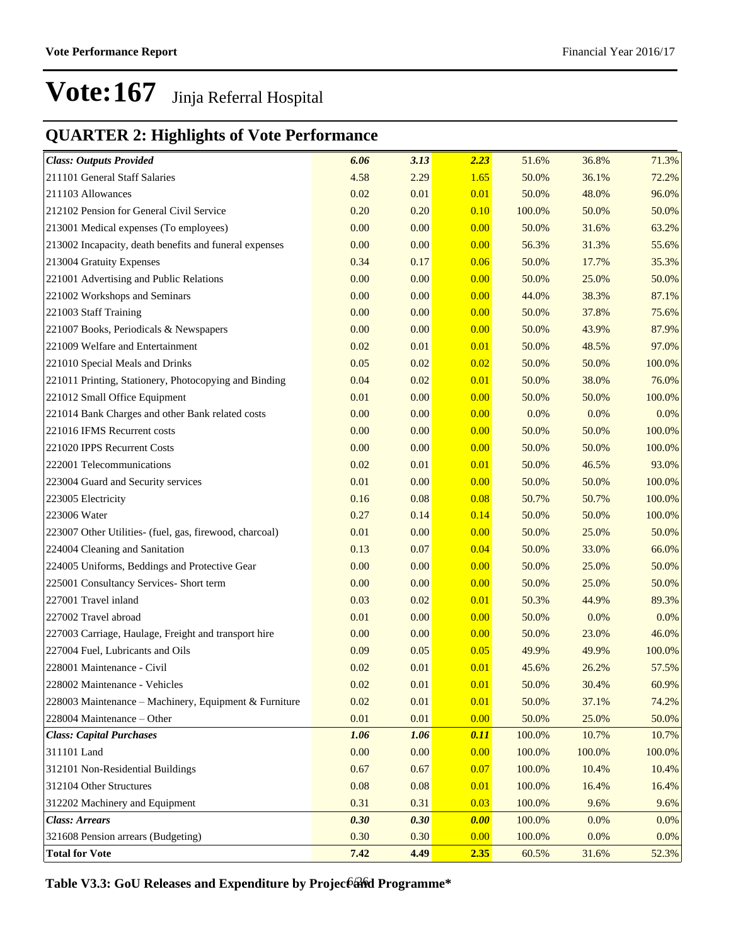### **QUARTER 2: Highlights of Vote Performance**

| <b>Class: Outputs Provided</b>                          | 6.06 | 3.13 | 2.23 | 51.6%  | 36.8%  | 71.3%   |
|---------------------------------------------------------|------|------|------|--------|--------|---------|
| 211101 General Staff Salaries                           | 4.58 | 2.29 | 1.65 | 50.0%  | 36.1%  | 72.2%   |
| 211103 Allowances                                       | 0.02 | 0.01 | 0.01 | 50.0%  | 48.0%  | 96.0%   |
| 212102 Pension for General Civil Service                | 0.20 | 0.20 | 0.10 | 100.0% | 50.0%  | 50.0%   |
| 213001 Medical expenses (To employees)                  | 0.00 | 0.00 | 0.00 | 50.0%  | 31.6%  | 63.2%   |
| 213002 Incapacity, death benefits and funeral expenses  | 0.00 | 0.00 | 0.00 | 56.3%  | 31.3%  | 55.6%   |
| 213004 Gratuity Expenses                                | 0.34 | 0.17 | 0.06 | 50.0%  | 17.7%  | 35.3%   |
| 221001 Advertising and Public Relations                 | 0.00 | 0.00 | 0.00 | 50.0%  | 25.0%  | 50.0%   |
| 221002 Workshops and Seminars                           | 0.00 | 0.00 | 0.00 | 44.0%  | 38.3%  | 87.1%   |
| 221003 Staff Training                                   | 0.00 | 0.00 | 0.00 | 50.0%  | 37.8%  | 75.6%   |
| 221007 Books, Periodicals & Newspapers                  | 0.00 | 0.00 | 0.00 | 50.0%  | 43.9%  | 87.9%   |
| 221009 Welfare and Entertainment                        | 0.02 | 0.01 | 0.01 | 50.0%  | 48.5%  | 97.0%   |
| 221010 Special Meals and Drinks                         | 0.05 | 0.02 | 0.02 | 50.0%  | 50.0%  | 100.0%  |
| 221011 Printing, Stationery, Photocopying and Binding   | 0.04 | 0.02 | 0.01 | 50.0%  | 38.0%  | 76.0%   |
| 221012 Small Office Equipment                           | 0.01 | 0.00 | 0.00 | 50.0%  | 50.0%  | 100.0%  |
| 221014 Bank Charges and other Bank related costs        | 0.00 | 0.00 | 0.00 | 0.0%   | 0.0%   | $0.0\%$ |
| 221016 IFMS Recurrent costs                             | 0.00 | 0.00 | 0.00 | 50.0%  | 50.0%  | 100.0%  |
| 221020 IPPS Recurrent Costs                             | 0.00 | 0.00 | 0.00 | 50.0%  | 50.0%  | 100.0%  |
| 222001 Telecommunications                               | 0.02 | 0.01 | 0.01 | 50.0%  | 46.5%  | 93.0%   |
| 223004 Guard and Security services                      | 0.01 | 0.00 | 0.00 | 50.0%  | 50.0%  | 100.0%  |
| 223005 Electricity                                      | 0.16 | 0.08 | 0.08 | 50.7%  | 50.7%  | 100.0%  |
| 223006 Water                                            | 0.27 | 0.14 | 0.14 | 50.0%  | 50.0%  | 100.0%  |
| 223007 Other Utilities- (fuel, gas, firewood, charcoal) | 0.01 | 0.00 | 0.00 | 50.0%  | 25.0%  | 50.0%   |
| 224004 Cleaning and Sanitation                          | 0.13 | 0.07 | 0.04 | 50.0%  | 33.0%  | 66.0%   |
| 224005 Uniforms, Beddings and Protective Gear           | 0.00 | 0.00 | 0.00 | 50.0%  | 25.0%  | 50.0%   |
| 225001 Consultancy Services- Short term                 | 0.00 | 0.00 | 0.00 | 50.0%  | 25.0%  | 50.0%   |
| 227001 Travel inland                                    | 0.03 | 0.02 | 0.01 | 50.3%  | 44.9%  | 89.3%   |
| 227002 Travel abroad                                    | 0.01 | 0.00 | 0.00 | 50.0%  | 0.0%   | $0.0\%$ |
| 227003 Carriage, Haulage, Freight and transport hire    | 0.00 | 0.00 | 0.00 | 50.0%  | 23.0%  | 46.0%   |
| 227004 Fuel, Lubricants and Oils                        | 0.09 | 0.05 | 0.05 | 49.9%  | 49.9%  | 100.0%  |
| 228001 Maintenance - Civil                              | 0.02 | 0.01 | 0.01 | 45.6%  | 26.2%  | 57.5%   |
| 228002 Maintenance - Vehicles                           | 0.02 | 0.01 | 0.01 | 50.0%  | 30.4%  | 60.9%   |
| 228003 Maintenance – Machinery, Equipment & Furniture   | 0.02 | 0.01 | 0.01 | 50.0%  | 37.1%  | 74.2%   |
| 228004 Maintenance - Other                              | 0.01 | 0.01 | 0.00 | 50.0%  | 25.0%  | 50.0%   |
| <b>Class: Capital Purchases</b>                         | 1.06 | 1.06 | 0.11 | 100.0% | 10.7%  | 10.7%   |
| 311101 Land                                             | 0.00 | 0.00 | 0.00 | 100.0% | 100.0% | 100.0%  |
| 312101 Non-Residential Buildings                        | 0.67 | 0.67 | 0.07 | 100.0% | 10.4%  | 10.4%   |
| 312104 Other Structures                                 | 0.08 | 0.08 | 0.01 | 100.0% | 16.4%  | 16.4%   |
| 312202 Machinery and Equipment                          | 0.31 | 0.31 | 0.03 | 100.0% | 9.6%   | 9.6%    |
| <b>Class: Arrears</b>                                   | 0.30 | 0.30 | 0.00 | 100.0% | 0.0%   | $0.0\%$ |
| 321608 Pension arrears (Budgeting)                      | 0.30 | 0.30 | 0.00 | 100.0% | 0.0%   | $0.0\%$ |
| <b>Total for Vote</b>                                   | 7.42 | 4.49 | 2.35 | 60.5%  | 31.6%  | 52.3%   |

Table V3.3: GoU Releases and Expenditure by Projec6and Programme\*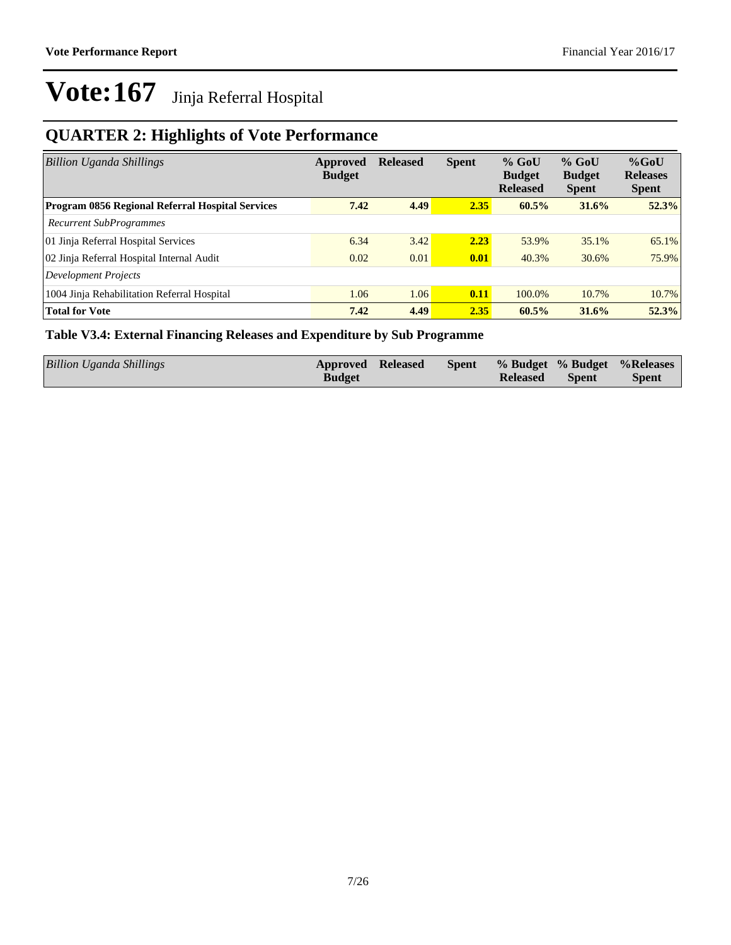### **QUARTER 2: Highlights of Vote Performance**

| <b>Billion Uganda Shillings</b>                  | Approved<br><b>Budget</b> | <b>Released</b> | <b>Spent</b> | $%$ GoU<br><b>Budget</b><br><b>Released</b> | $%$ GoU<br><b>Budget</b><br><b>Spent</b> | $%$ GoU<br><b>Releases</b><br><b>Spent</b> |
|--------------------------------------------------|---------------------------|-----------------|--------------|---------------------------------------------|------------------------------------------|--------------------------------------------|
| Program 0856 Regional Referral Hospital Services | 7.42                      | 4.49            | 2.35         | 60.5%                                       | 31.6%                                    | 52.3%                                      |
| <b>Recurrent SubProgrammes</b>                   |                           |                 |              |                                             |                                          |                                            |
| 01 Jinja Referral Hospital Services              | 6.34                      | 3.42            | 2.23         | 53.9%                                       | 35.1%                                    | 65.1%                                      |
| 02 Jinja Referral Hospital Internal Audit        | 0.02                      | 0.01            | 0.01         | 40.3%                                       | 30.6%                                    | 75.9%                                      |
| Development Projects                             |                           |                 |              |                                             |                                          |                                            |
| 1004 Jinja Rehabilitation Referral Hospital      | 1.06                      | 1.06            | 0.11         | 100.0%                                      | 10.7%                                    | 10.7%                                      |
| <b>Total for Vote</b>                            | 7.42                      | 4.49            | 2.35         | 60.5%                                       | 31.6%                                    | 52.3%                                      |

### **Table V3.4: External Financing Releases and Expenditure by Sub Programme**

| <b>Billion Uganda Shillings</b> | Approved Released | <b>Spent</b> |                 |              | % Budget % Budget % Releases |
|---------------------------------|-------------------|--------------|-----------------|--------------|------------------------------|
|                                 | <b>Budget</b>     |              | <b>Released</b> | <b>Spent</b> | <b>Spent</b>                 |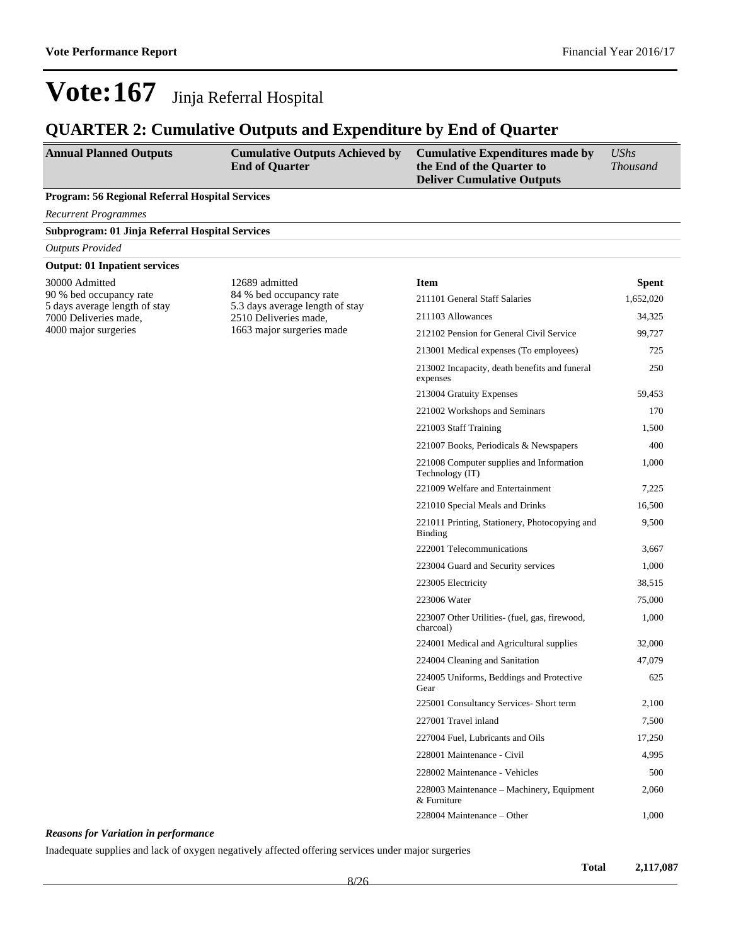### **QUARTER 2: Cumulative Outputs and Expenditure by End of Quarter**

| <b>Annual Planned Outputs</b>                            | <b>Cumulative Outputs Achieved by</b><br><b>End of Quarter</b> | <b>Cumulative Expenditures made by</b><br>the End of the Quarter to<br><b>Deliver Cumulative Outputs</b> | <b>UShs</b><br><b>Thousand</b> |
|----------------------------------------------------------|----------------------------------------------------------------|----------------------------------------------------------------------------------------------------------|--------------------------------|
| Program: 56 Regional Referral Hospital Services          |                                                                |                                                                                                          |                                |
| <b>Recurrent Programmes</b>                              |                                                                |                                                                                                          |                                |
| Subprogram: 01 Jinja Referral Hospital Services          |                                                                |                                                                                                          |                                |
| <b>Outputs Provided</b>                                  |                                                                |                                                                                                          |                                |
| <b>Output: 01 Inpatient services</b>                     |                                                                |                                                                                                          |                                |
| 30000 Admitted<br>12689 admitted                         |                                                                | <b>Item</b>                                                                                              | <b>Spent</b>                   |
| 90 % bed occupancy rate<br>5 days average length of stay | 84 % bed occupancy rate<br>5.3 days average length of stay     | 211101 General Staff Salaries                                                                            | 1,652,020                      |
| 7000 Deliveries made,                                    | 2510 Deliveries made,                                          | 211103 Allowances                                                                                        | 34,325                         |
| 4000 major surgeries                                     | 1663 major surgeries made                                      | 212102 Pension for General Civil Service                                                                 | 99,727                         |
|                                                          |                                                                | 213001 Medical expenses (To employees)                                                                   | 725                            |
|                                                          |                                                                | 213002 Incapacity, death benefits and funeral<br>expenses                                                | 250                            |
|                                                          |                                                                | 213004 Gratuity Expenses                                                                                 | 59,453                         |
|                                                          |                                                                | 221002 Workshops and Seminars                                                                            | 170                            |
|                                                          |                                                                | 221003 Staff Training                                                                                    | 1,500                          |
|                                                          |                                                                | 221007 Books, Periodicals & Newspapers                                                                   | 400                            |
|                                                          |                                                                | 221008 Computer supplies and Information<br>Technology (IT)                                              | 1,000                          |
|                                                          |                                                                | 221009 Welfare and Entertainment                                                                         | 7,225                          |
|                                                          |                                                                | 221010 Special Meals and Drinks                                                                          | 16,500                         |
|                                                          |                                                                | 221011 Printing, Stationery, Photocopying and<br><b>Binding</b>                                          | 9,500                          |
|                                                          |                                                                | 222001 Telecommunications                                                                                | 3,667                          |
|                                                          |                                                                | 223004 Guard and Security services                                                                       | 1,000                          |
|                                                          |                                                                | 223005 Electricity                                                                                       | 38,515                         |
|                                                          |                                                                | 223006 Water                                                                                             | 75,000                         |
|                                                          |                                                                | 223007 Other Utilities- (fuel, gas, firewood,<br>charcoal)                                               | 1,000                          |
|                                                          |                                                                | 224001 Medical and Agricultural supplies                                                                 | 32,000                         |
|                                                          |                                                                | 224004 Cleaning and Sanitation                                                                           | 47,079                         |
|                                                          |                                                                | 224005 Uniforms, Beddings and Protective<br>Gear                                                         | 625                            |
|                                                          |                                                                | 225001 Consultancy Services- Short term                                                                  | 2,100                          |
|                                                          |                                                                | 227001 Travel inland                                                                                     | 7,500                          |
|                                                          |                                                                | 227004 Fuel, Lubricants and Oils                                                                         | 17,250                         |
|                                                          |                                                                | 228001 Maintenance - Civil                                                                               | 4,995                          |
|                                                          |                                                                | 228002 Maintenance - Vehicles                                                                            | 500                            |
|                                                          |                                                                | 228003 Maintenance – Machinery, Equipment<br>& Furniture                                                 | 2,060                          |
|                                                          |                                                                | 228004 Maintenance – Other                                                                               | 1,000                          |

### *Reasons for Variation in performance*

Inadequate supplies and lack of oxygen negatively affected offering services under major surgeries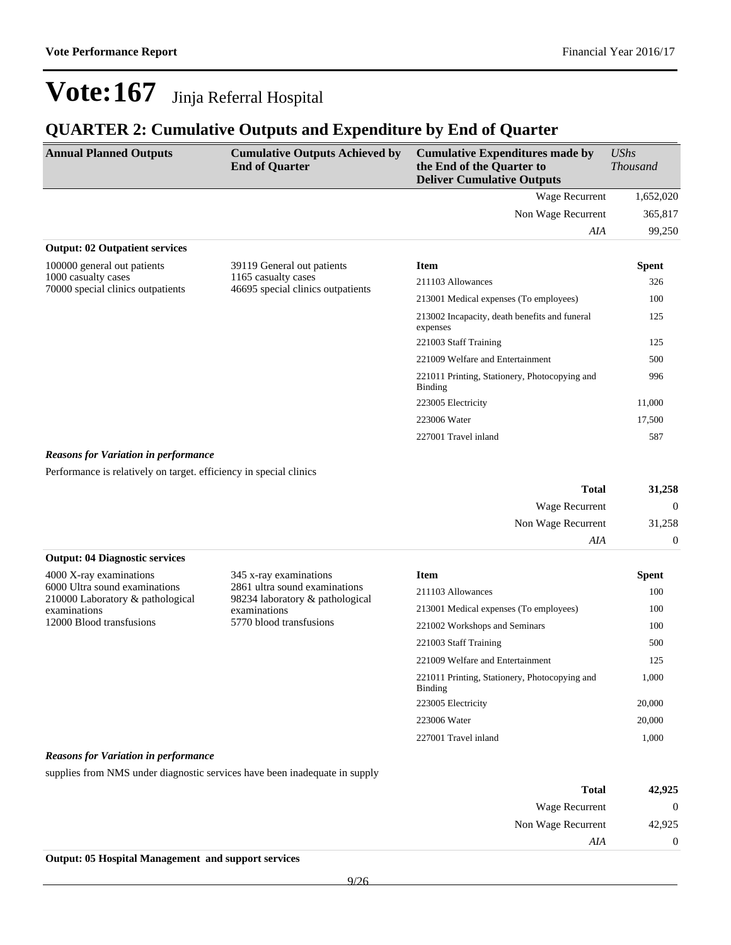### **QUARTER 2: Cumulative Outputs and Expenditure by End of Quarter**

| <b>Annual Planned Outputs</b>                            | <b>Cumulative Outputs Achieved by</b><br><b>End of Quarter</b> | <b>Cumulative Expenditures made by</b><br>the End of the Quarter to<br><b>Deliver Cumulative Outputs</b> | <b>UShs</b><br><i>Thousand</i> |
|----------------------------------------------------------|----------------------------------------------------------------|----------------------------------------------------------------------------------------------------------|--------------------------------|
|                                                          |                                                                | Wage Recurrent                                                                                           | 1,652,020                      |
|                                                          |                                                                | Non Wage Recurrent                                                                                       | 365,817                        |
|                                                          |                                                                | AIA                                                                                                      | 99,250                         |
| <b>Output: 02 Outpatient services</b>                    |                                                                |                                                                                                          |                                |
| 100000 general out patients                              | 39119 General out patients                                     | <b>Item</b>                                                                                              | Spent                          |
| 1000 casualty cases<br>70000 special clinics outpatients | 1165 casualty cases<br>46695 special clinics outpatients       | 211103 Allowances                                                                                        | 326                            |
|                                                          |                                                                | 213001 Medical expenses (To employees)                                                                   | 100                            |
|                                                          |                                                                | 213002 Incapacity, death benefits and funeral<br>expenses                                                | 125                            |
|                                                          |                                                                | 221003 Staff Training                                                                                    | 125                            |
|                                                          |                                                                | 221009 Welfare and Entertainment                                                                         | 500                            |
|                                                          |                                                                | 221011 Printing, Stationery, Photocopying and<br>Binding                                                 | 996                            |
|                                                          |                                                                | 223005 Electricity                                                                                       | 11,000                         |
|                                                          |                                                                | 223006 Water                                                                                             | 17,500                         |
|                                                          |                                                                | 227001 Travel inland                                                                                     | 587                            |

#### *Reasons for Variation in performance*

Performance is relatively on target. efficiency in special clinics

| 31,258         | <b>Total</b>       |
|----------------|--------------------|
| $\overline{0}$ | Wage Recurrent     |
| 31,258         | Non Wage Recurrent |
| $\overline{0}$ | AIA                |

#### **Output: 04 Diagnostic services**

4000 X-ray examinations 6000 Ultra sound examinations 210000 Laboratory & pathological examinations 12000 Blood transfusions

345 x-ray examinations 2861 ultra sound examinations 98234 laboratory & pathological examinations 5770 blood transfusions

| <b>Item</b>                                              | Spent  |
|----------------------------------------------------------|--------|
| 211103 Allowances                                        | 100    |
| 213001 Medical expenses (To employees)                   | 100    |
| 221002 Workshops and Seminars                            | 100    |
| 221003 Staff Training                                    | 500    |
| 221009 Welfare and Entertainment                         | 125    |
| 221011 Printing, Stationery, Photocopying and<br>Binding | 1.000  |
| 223005 Electricity                                       | 20,000 |
| 223006 Water                                             | 20,000 |
| 227001 Travel inland                                     | 1.000  |

#### *Reasons for Variation in performance*

supplies from NMS under diagnostic services have been inadequate in supply

| 42,925 | <b>Total</b>       |
|--------|--------------------|
| 0      | Wage Recurrent     |
| 42,925 | Non Wage Recurrent |
|        | AIA                |

**Output: 05 Hospital Management and support services**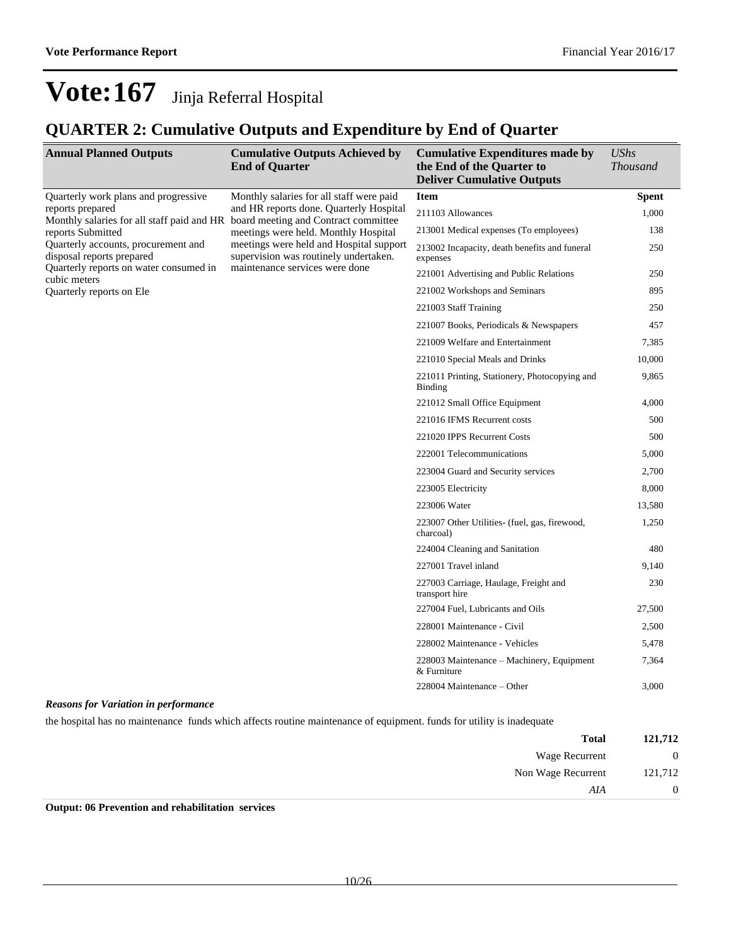### **QUARTER 2: Cumulative Outputs and Expenditure by End of Quarter**

| <b>Annual Planned Outputs</b>                                                                                                                                                                                                        | <b>Cumulative Outputs Achieved by</b><br><b>End of Quarter</b>                                                                                                                                                                                    | <b>Cumulative Expenditures made by</b><br>the End of the Quarter to<br><b>Deliver Cumulative Outputs</b> | <b>UShs</b><br><b>Thousand</b> |
|--------------------------------------------------------------------------------------------------------------------------------------------------------------------------------------------------------------------------------------|---------------------------------------------------------------------------------------------------------------------------------------------------------------------------------------------------------------------------------------------------|----------------------------------------------------------------------------------------------------------|--------------------------------|
| Quarterly work plans and progressive<br>reports prepared<br>Monthly salaries for all staff paid and HR board meeting and Contract committee<br>reports Submitted<br>Quarterly accounts, procurement and<br>disposal reports prepared | Monthly salaries for all staff were paid<br>and HR reports done. Quarterly Hospital<br>meetings were held. Monthly Hospital<br>meetings were held and Hospital support<br>supervision was routinely undertaken.<br>maintenance services were done | <b>Item</b>                                                                                              | <b>Spent</b>                   |
|                                                                                                                                                                                                                                      |                                                                                                                                                                                                                                                   | 211103 Allowances                                                                                        | 1,000                          |
|                                                                                                                                                                                                                                      |                                                                                                                                                                                                                                                   | 213001 Medical expenses (To employees)                                                                   | 138                            |
|                                                                                                                                                                                                                                      |                                                                                                                                                                                                                                                   | 213002 Incapacity, death benefits and funeral<br>expenses                                                | 250                            |
| Quarterly reports on water consumed in<br>cubic meters                                                                                                                                                                               |                                                                                                                                                                                                                                                   | 221001 Advertising and Public Relations                                                                  | 250                            |
| Quarterly reports on Ele                                                                                                                                                                                                             |                                                                                                                                                                                                                                                   | 221002 Workshops and Seminars                                                                            | 895                            |
|                                                                                                                                                                                                                                      |                                                                                                                                                                                                                                                   | 221003 Staff Training                                                                                    | 250                            |
|                                                                                                                                                                                                                                      |                                                                                                                                                                                                                                                   | 221007 Books, Periodicals & Newspapers                                                                   | 457                            |
|                                                                                                                                                                                                                                      |                                                                                                                                                                                                                                                   | 221009 Welfare and Entertainment                                                                         | 7,385                          |
|                                                                                                                                                                                                                                      |                                                                                                                                                                                                                                                   | 221010 Special Meals and Drinks                                                                          | 10,000                         |
|                                                                                                                                                                                                                                      |                                                                                                                                                                                                                                                   | 221011 Printing, Stationery, Photocopying and<br>Binding                                                 | 9,865                          |
|                                                                                                                                                                                                                                      |                                                                                                                                                                                                                                                   | 221012 Small Office Equipment                                                                            | 4,000                          |
|                                                                                                                                                                                                                                      |                                                                                                                                                                                                                                                   | 221016 IFMS Recurrent costs                                                                              | 500                            |
|                                                                                                                                                                                                                                      |                                                                                                                                                                                                                                                   | 221020 IPPS Recurrent Costs                                                                              | 500                            |
|                                                                                                                                                                                                                                      |                                                                                                                                                                                                                                                   | 222001 Telecommunications                                                                                | 5,000                          |
|                                                                                                                                                                                                                                      |                                                                                                                                                                                                                                                   | 223004 Guard and Security services                                                                       | 2,700                          |
|                                                                                                                                                                                                                                      |                                                                                                                                                                                                                                                   | 223005 Electricity                                                                                       | 8,000                          |
|                                                                                                                                                                                                                                      |                                                                                                                                                                                                                                                   | 223006 Water                                                                                             | 13,580                         |
|                                                                                                                                                                                                                                      |                                                                                                                                                                                                                                                   | 223007 Other Utilities- (fuel, gas, firewood,<br>charcoal)                                               | 1,250                          |
|                                                                                                                                                                                                                                      |                                                                                                                                                                                                                                                   | 224004 Cleaning and Sanitation                                                                           | 480                            |
|                                                                                                                                                                                                                                      |                                                                                                                                                                                                                                                   | 227001 Travel inland                                                                                     | 9,140                          |
|                                                                                                                                                                                                                                      |                                                                                                                                                                                                                                                   | 227003 Carriage, Haulage, Freight and<br>transport hire                                                  | 230                            |
|                                                                                                                                                                                                                                      |                                                                                                                                                                                                                                                   | 227004 Fuel, Lubricants and Oils                                                                         | 27,500                         |
|                                                                                                                                                                                                                                      |                                                                                                                                                                                                                                                   | 228001 Maintenance - Civil                                                                               | 2,500                          |
|                                                                                                                                                                                                                                      |                                                                                                                                                                                                                                                   | 228002 Maintenance - Vehicles                                                                            | 5,478                          |
|                                                                                                                                                                                                                                      |                                                                                                                                                                                                                                                   | 228003 Maintenance - Machinery, Equipment<br>& Furniture                                                 | 7,364                          |
|                                                                                                                                                                                                                                      |                                                                                                                                                                                                                                                   | 228004 Maintenance – Other                                                                               | 3,000                          |
| <b>Reasons for Variation in performance</b>                                                                                                                                                                                          |                                                                                                                                                                                                                                                   |                                                                                                          |                                |

the hospital has no maintenance funds which affects routine maintenance of equipment. funds for utility is inadequate

| 121,712        | <b>Total</b>          |
|----------------|-----------------------|
| $\mathbf{0}$   | <b>Wage Recurrent</b> |
| 121,712        | Non Wage Recurrent    |
| $\overline{0}$ | AIA                   |

**Output: 06 Prevention and rehabilitation services**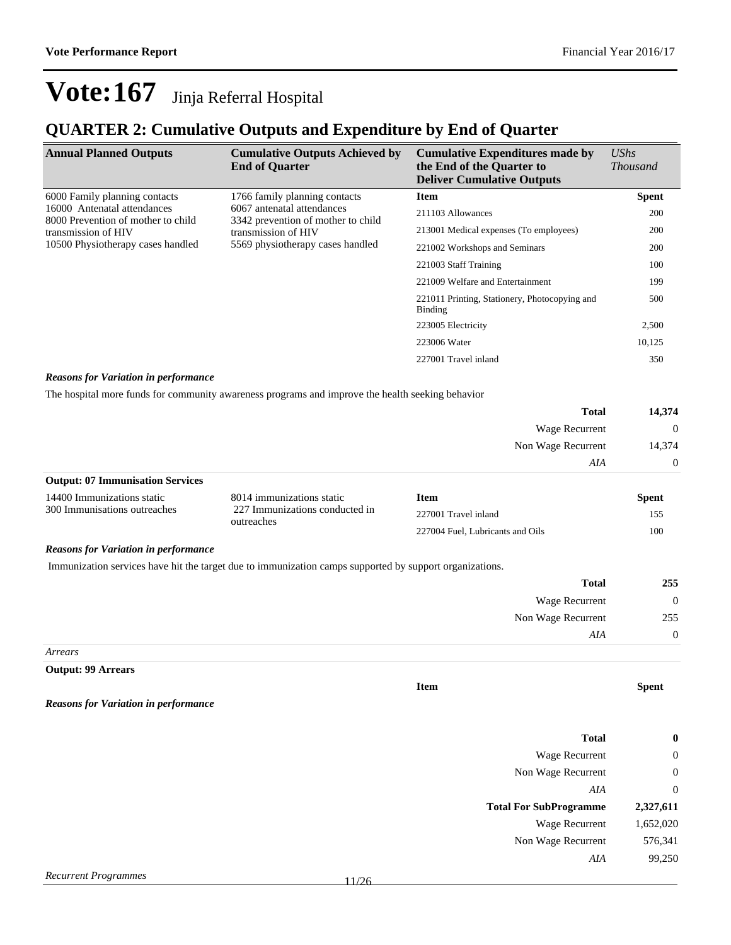### **QUARTER 2: Cumulative Outputs and Expenditure by End of Quarter**

| <b>Annual Planned Outputs</b>                                                                                                                                                                                                                                | <b>Cumulative Outputs Achieved by</b><br><b>End of Quarter</b> | <b>Cumulative Expenditures made by</b><br>the End of the Quarter to<br><b>Deliver Cumulative Outputs</b> | <b>UShs</b><br><i>Thousand</i> |
|--------------------------------------------------------------------------------------------------------------------------------------------------------------------------------------------------------------------------------------------------------------|----------------------------------------------------------------|----------------------------------------------------------------------------------------------------------|--------------------------------|
| 6000 Family planning contacts                                                                                                                                                                                                                                | 1766 family planning contacts                                  | <b>Item</b>                                                                                              | <b>Spent</b>                   |
| 16000 Antenatal attendances<br>6067 antenatal attendances<br>8000 Prevention of mother to child<br>3342 prevention of mother to child<br>transmission of HIV<br>transmission of HIV<br>10500 Physiotherapy cases handled<br>5569 physiotherapy cases handled | 211103 Allowances                                              | 200                                                                                                      |                                |
|                                                                                                                                                                                                                                                              | 213001 Medical expenses (To employees)                         | 200                                                                                                      |                                |
|                                                                                                                                                                                                                                                              | 221002 Workshops and Seminars                                  | 200                                                                                                      |                                |
|                                                                                                                                                                                                                                                              |                                                                | 221003 Staff Training                                                                                    | 100                            |
|                                                                                                                                                                                                                                                              |                                                                | 221009 Welfare and Entertainment                                                                         | 199                            |
|                                                                                                                                                                                                                                                              |                                                                | 221011 Printing, Stationery, Photocopying and<br>Binding                                                 | 500                            |
|                                                                                                                                                                                                                                                              |                                                                | 223005 Electricity                                                                                       | 2,500                          |
|                                                                                                                                                                                                                                                              |                                                                | 223006 Water                                                                                             | 10,125                         |
| $\sim$ $\sim$ $\sim$ $\sim$ $\sim$                                                                                                                                                                                                                           |                                                                | 227001 Travel inland                                                                                     | 350                            |

#### *Reasons for Variation in performance*

The hospital more funds for community awareness programs and improve the health seeking behavior

| <b>Total</b>                            | 14,374         |
|-----------------------------------------|----------------|
| Wage Recurrent                          | $\overline{0}$ |
| Non Wage Recurrent                      | 14,374         |
| AIA                                     | $\overline{0}$ |
| <b>Output: 07 Immunisation Services</b> |                |

| 14400 Immunizations static   | 8014 immunizations static                    | Item                             | Spent |
|------------------------------|----------------------------------------------|----------------------------------|-------|
| 300 Immunisations outreaches | 227 Immunizations conducted in<br>outreaches | 227001 Travel inland             |       |
|                              |                                              | 227004 Fuel. Lubricants and Oils | 100   |

### *Reasons for Variation in performance*

Immunization services have hit the target due to immunization camps supported by support organizations.

| 255            | <b>Total</b>       |
|----------------|--------------------|
| $\overline{0}$ | Wage Recurrent     |
| 255            | Non Wage Recurrent |
| $\overline{0}$ | AIA                |
|                |                    |

**Item Spent**

*Arrears*

**Output: 99 Arrears**

```
Reasons for Variation in performance
```

| $\bf{0}$         | <b>Total</b>                  |
|------------------|-------------------------------|
| $\boldsymbol{0}$ | Wage Recurrent                |
| $\mathbf{0}$     | Non Wage Recurrent            |
| $\overline{0}$   | AIA                           |
| 2,327,611        | <b>Total For SubProgramme</b> |
| 1,652,020        | <b>Wage Recurrent</b>         |
| 576,341          | Non Wage Recurrent            |
| 99,250           | AIA                           |
|                  |                               |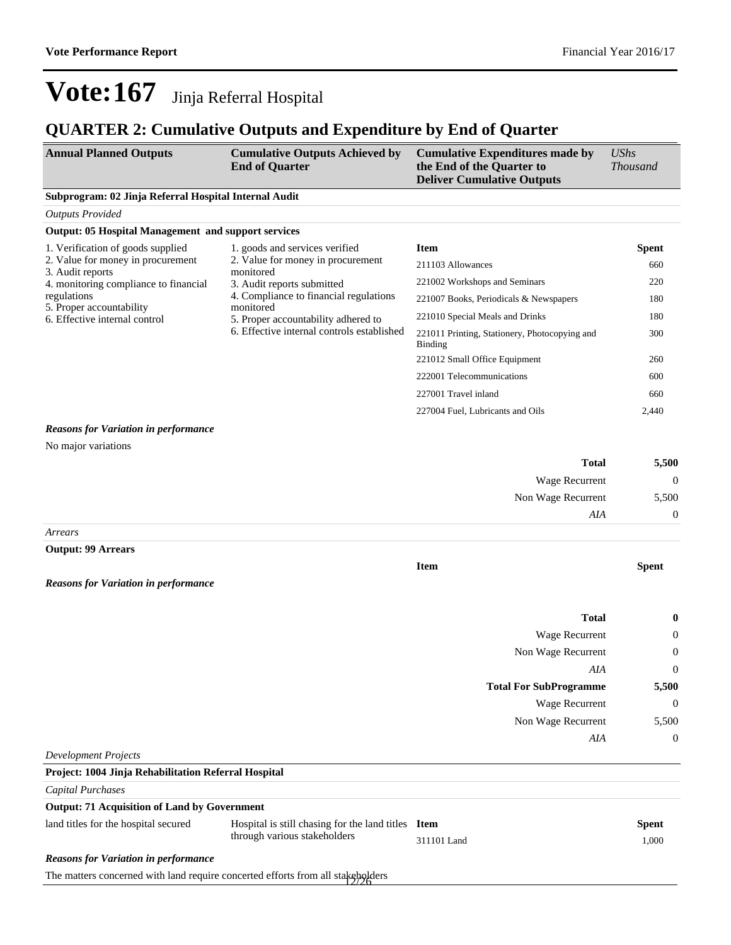**Item Spent**

## **Vote:167** Jinja Referral Hospital

### **QUARTER 2: Cumulative Outputs and Expenditure by End of Quarter**

| <b>Annual Planned Outputs</b>                         | <b>Cumulative Outputs Achieved by</b> | <b>Cumulative Expenditures made by</b>                         | UShs            |
|-------------------------------------------------------|---------------------------------------|----------------------------------------------------------------|-----------------|
|                                                       | <b>End of Quarter</b>                 | the End of the Quarter to<br><b>Deliver Cumulative Outputs</b> | <i>Thousand</i> |
| Subprogram: 02 Jinja Deferred Hespital Internal Audit |                                       |                                                                |                 |

#### **Subprogram: 02 Jinja Referral Hospital Internal Audit**

| <b>Outputs Provided</b>                                    |                                                          |                                        |              |
|------------------------------------------------------------|----------------------------------------------------------|----------------------------------------|--------------|
| <b>Output: 05 Hospital Management and support services</b> |                                                          |                                        |              |
| 1. Verification of goods supplied                          | 1. goods and services verified                           | <b>Item</b>                            | <b>Spent</b> |
| 2. Value for money in procurement<br>3. Audit reports      | 2. Value for money in procurement<br>monitored           | 211103 Allowances                      | 660          |
| 4. monitoring compliance to financial                      | 3. Audit reports submitted                               | 221002 Workshops and Seminars          | 220          |
| regulations                                                | 4. Compliance to financial regulations<br>monitored      | 221007 Books, Periodicals & Newspapers | 180          |
| 5. Proper accountability<br>6. Effective internal control  | 5. Proper accountability adhered to                      | 221010 Special Meals and Drinks        | 180          |
| 6. Effective internal controls established                 | 221011 Printing, Stationery, Photocopying and<br>Binding | 300                                    |              |
|                                                            |                                                          | 221012 Small Office Equipment          | 260          |
|                                                            |                                                          | 222001 Telecommunications              | 600          |
|                                                            |                                                          | 227001 Travel inland                   | 660          |
|                                                            |                                                          | 227004 Fuel, Lubricants and Oils       | 2,440        |

#### *Reasons for Variation in performance*

No major variations

| 5,500    | Total                 |
|----------|-----------------------|
| $\theta$ | <b>Wage Recurrent</b> |
| 5,500    | Non Wage Recurrent    |
| $\theta$ | AIA                   |
|          |                       |

*Arrears*

#### **Output: 99 Arrears**

*Reasons for Variation in performance*

| <b>Total</b>                  | $\bf{0}$       |
|-------------------------------|----------------|
| <b>Wage Recurrent</b>         | $\overline{0}$ |
| Non Wage Recurrent            | $\bf{0}$       |
| AIA                           | $\overline{0}$ |
| <b>Total For SubProgramme</b> | 5,500          |
| <b>Wage Recurrent</b>         | $\bf{0}$       |
| Non Wage Recurrent            | 5,500          |
| AIA                           | $\bf{0}$       |
| Development Projects          |                |

### **Project: 1004 Jinja Rehabilitation Referral Hospital**

*Capital Purchases*

### **Output: 71 Acquisition of Land by Government**

| land titles for the hospital secured        | Hospital is still chasing for the land titles Item |             | <b>Spent</b> |
|---------------------------------------------|----------------------------------------------------|-------------|--------------|
|                                             | through various stakeholders                       | 311101 Land | 1.000        |
| <b>Reasons for Variation in performance</b> |                                                    |             |              |

The matters concerned with land require concerted efforts from all stakeholders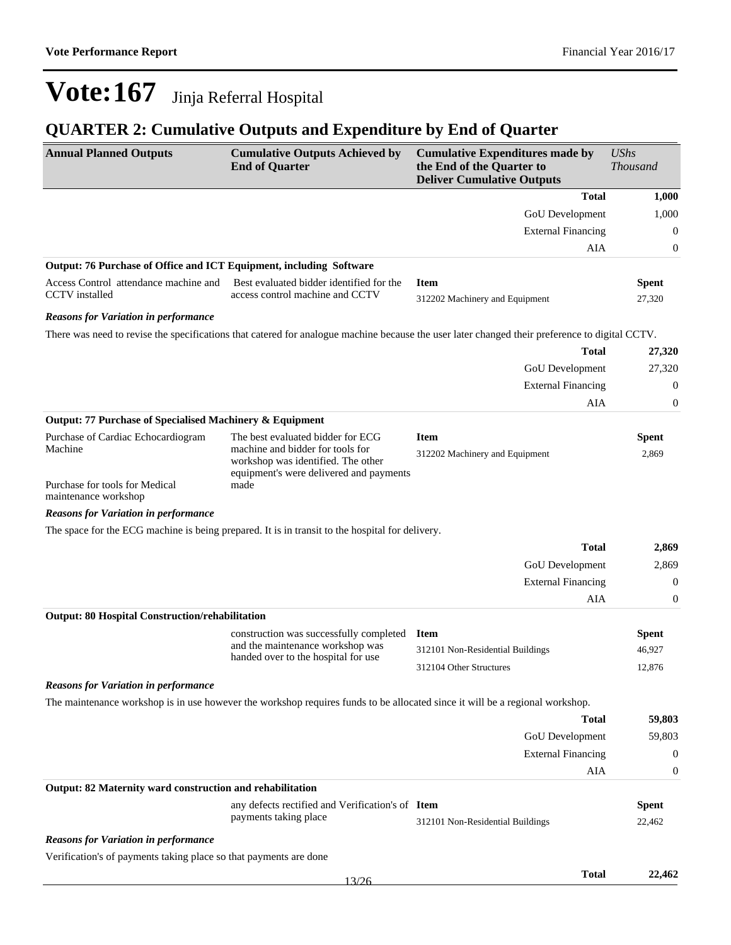### **QUARTER 2: Cumulative Outputs and Expenditure by End of Quarter**

| <b>Annual Planned Outputs</b>                                       | <b>Cumulative Outputs Achieved by</b><br><b>End of Quarter</b>                                                                                         | <b>Cumulative Expenditures made by</b><br>the End of the Quarter to<br><b>Deliver Cumulative Outputs</b>                                       | <b>UShs</b><br><b>Thousand</b> |
|---------------------------------------------------------------------|--------------------------------------------------------------------------------------------------------------------------------------------------------|------------------------------------------------------------------------------------------------------------------------------------------------|--------------------------------|
|                                                                     |                                                                                                                                                        | <b>Total</b>                                                                                                                                   | 1,000                          |
|                                                                     |                                                                                                                                                        | GoU Development                                                                                                                                | 1,000                          |
|                                                                     |                                                                                                                                                        | <b>External Financing</b>                                                                                                                      | $\boldsymbol{0}$               |
|                                                                     |                                                                                                                                                        | <b>AIA</b>                                                                                                                                     | $\boldsymbol{0}$               |
| Output: 76 Purchase of Office and ICT Equipment, including Software |                                                                                                                                                        |                                                                                                                                                |                                |
| Access Control attendance machine and<br><b>CCTV</b> installed      | Best evaluated bidder identified for the<br>access control machine and CCTV                                                                            | <b>Item</b><br>312202 Machinery and Equipment                                                                                                  | <b>Spent</b><br>27,320         |
| <b>Reasons for Variation in performance</b>                         |                                                                                                                                                        |                                                                                                                                                |                                |
|                                                                     |                                                                                                                                                        | There was need to revise the specifications that catered for analogue machine because the user later changed their preference to digital CCTV. |                                |
|                                                                     |                                                                                                                                                        | <b>Total</b>                                                                                                                                   | 27,320                         |
|                                                                     |                                                                                                                                                        | GoU Development                                                                                                                                | 27,320                         |
|                                                                     |                                                                                                                                                        | <b>External Financing</b>                                                                                                                      | 0                              |
|                                                                     |                                                                                                                                                        | <b>AIA</b>                                                                                                                                     | $\boldsymbol{0}$               |
| Output: 77 Purchase of Specialised Machinery & Equipment            |                                                                                                                                                        |                                                                                                                                                |                                |
| Purchase of Cardiac Echocardiogram<br>Machine                       | The best evaluated bidder for ECG<br>machine and bidder for tools for<br>workshop was identified. The other<br>equipment's were delivered and payments | <b>Item</b><br>312202 Machinery and Equipment                                                                                                  | <b>Spent</b><br>2,869          |
| Purchase for tools for Medical<br>maintenance workshop              | made                                                                                                                                                   |                                                                                                                                                |                                |
| <b>Reasons for Variation in performance</b>                         |                                                                                                                                                        |                                                                                                                                                |                                |
|                                                                     | The space for the ECG machine is being prepared. It is in transit to the hospital for delivery.                                                        |                                                                                                                                                |                                |
|                                                                     |                                                                                                                                                        | <b>Total</b>                                                                                                                                   | 2,869                          |
|                                                                     |                                                                                                                                                        | GoU Development                                                                                                                                | 2,869                          |
|                                                                     |                                                                                                                                                        | <b>External Financing</b>                                                                                                                      | $\boldsymbol{0}$               |
|                                                                     |                                                                                                                                                        | AIA                                                                                                                                            | $\boldsymbol{0}$               |
| <b>Output: 80 Hospital Construction/rehabilitation</b>              |                                                                                                                                                        |                                                                                                                                                |                                |
|                                                                     | construction was successfully completed                                                                                                                | <b>Item</b>                                                                                                                                    | <b>Spent</b>                   |
|                                                                     | and the maintenance workshop was<br>handed over to the hospital for use                                                                                | 312101 Non-Residential Buildings                                                                                                               | 46,927                         |
|                                                                     |                                                                                                                                                        | 312104 Other Structures                                                                                                                        | 12,876                         |
| <b>Reasons for Variation in performance</b>                         |                                                                                                                                                        |                                                                                                                                                |                                |
|                                                                     | The maintenance workshop is in use however the workshop requires funds to be allocated since it will be a regional workshop.                           |                                                                                                                                                |                                |
|                                                                     |                                                                                                                                                        | <b>Total</b>                                                                                                                                   | 59,803                         |
|                                                                     |                                                                                                                                                        | GoU Development                                                                                                                                | 59,803                         |
|                                                                     |                                                                                                                                                        | <b>External Financing</b>                                                                                                                      | $\boldsymbol{0}$               |
|                                                                     |                                                                                                                                                        | AIA                                                                                                                                            | 0                              |
| Output: 82 Maternity ward construction and rehabilitation           |                                                                                                                                                        |                                                                                                                                                |                                |
|                                                                     | any defects rectified and Verification's of Item<br>payments taking place                                                                              | 312101 Non-Residential Buildings                                                                                                               | <b>Spent</b><br>22,462         |
| <b>Reasons for Variation in performance</b>                         |                                                                                                                                                        |                                                                                                                                                |                                |
| Verification's of payments taking place so that payments are done   |                                                                                                                                                        |                                                                                                                                                |                                |
|                                                                     |                                                                                                                                                        | <b>Total</b>                                                                                                                                   | 22,462                         |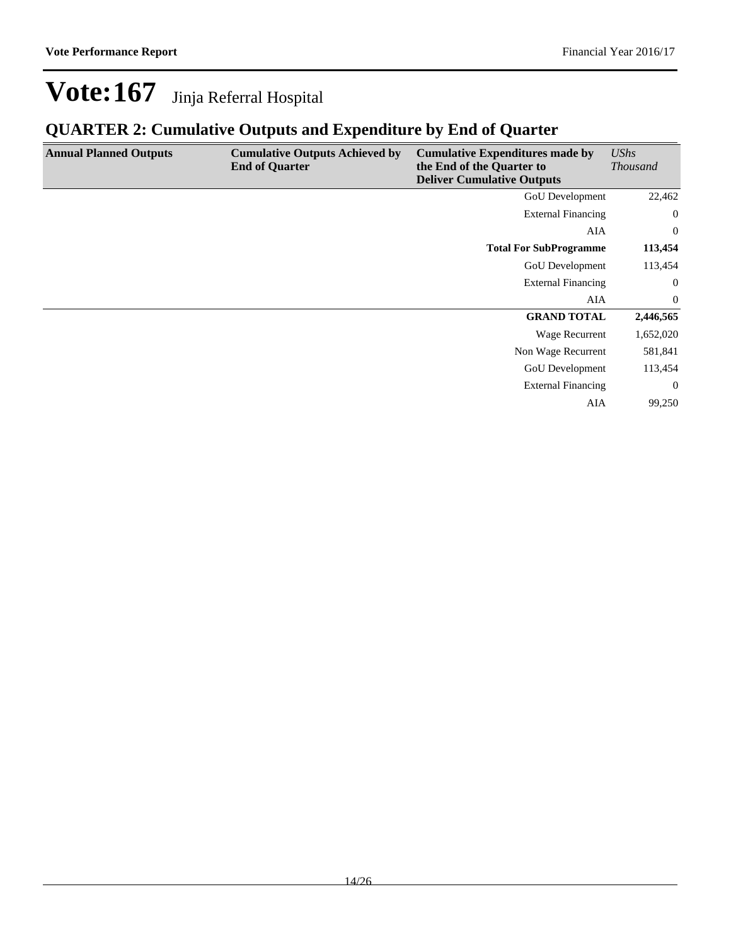### **QUARTER 2: Cumulative Outputs and Expenditure by End of Quarter**

| <b>Annual Planned Outputs</b> | <b>Cumulative Outputs Achieved by</b><br><b>End of Quarter</b> | <b>Cumulative Expenditures made by</b><br>the End of the Quarter to<br><b>Deliver Cumulative Outputs</b> | <b>UShs</b><br><b>Thousand</b> |
|-------------------------------|----------------------------------------------------------------|----------------------------------------------------------------------------------------------------------|--------------------------------|
|                               |                                                                | <b>GoU</b> Development                                                                                   | 22,462                         |
|                               |                                                                | <b>External Financing</b>                                                                                | $\overline{0}$                 |
|                               |                                                                | AIA                                                                                                      | $\overline{0}$                 |
|                               |                                                                | <b>Total For SubProgramme</b>                                                                            | 113,454                        |
|                               |                                                                | <b>GoU</b> Development                                                                                   | 113,454                        |
|                               |                                                                | <b>External Financing</b>                                                                                | $\boldsymbol{0}$               |
|                               |                                                                | AIA                                                                                                      | $\overline{0}$                 |
|                               |                                                                | <b>GRAND TOTAL</b>                                                                                       | 2,446,565                      |
|                               |                                                                | Wage Recurrent                                                                                           | 1,652,020                      |
|                               |                                                                | Non Wage Recurrent                                                                                       | 581,841                        |
|                               |                                                                | <b>GoU</b> Development                                                                                   | 113,454                        |
|                               |                                                                | <b>External Financing</b>                                                                                | $\overline{0}$                 |
|                               |                                                                | <b>AIA</b>                                                                                               | 99,250                         |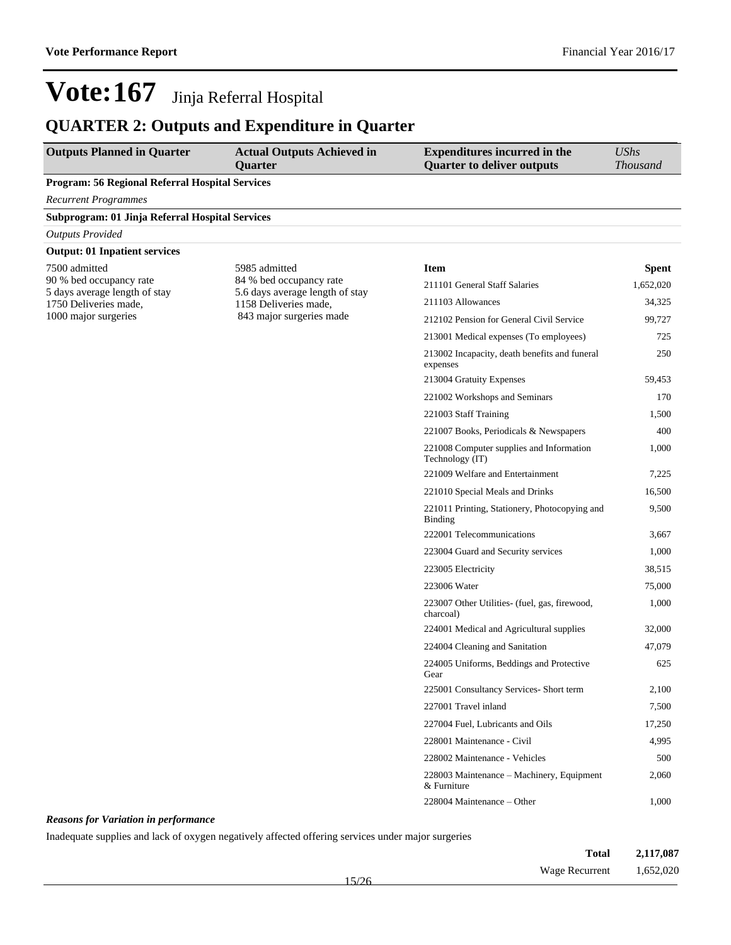### **QUARTER 2: Outputs and Expenditure in Quarter**

| <b>Outputs Planned in Quarter</b>                        | <b>Actual Outputs Achieved in</b><br><b>Quarter</b>        | <b>Expenditures incurred in the</b><br><b>Quarter to deliver outputs</b> | <b>UShs</b><br><b>Thousand</b> |
|----------------------------------------------------------|------------------------------------------------------------|--------------------------------------------------------------------------|--------------------------------|
| Program: 56 Regional Referral Hospital Services          |                                                            |                                                                          |                                |
| <b>Recurrent Programmes</b>                              |                                                            |                                                                          |                                |
| Subprogram: 01 Jinja Referral Hospital Services          |                                                            |                                                                          |                                |
| <b>Outputs Provided</b>                                  |                                                            |                                                                          |                                |
| <b>Output: 01 Inpatient services</b>                     |                                                            |                                                                          |                                |
| 7500 admitted                                            | 5985 admitted                                              | <b>Item</b>                                                              | Spent                          |
| 90 % bed occupancy rate<br>5 days average length of stay | 84 % bed occupancy rate<br>5.6 days average length of stay | 211101 General Staff Salaries                                            | 1,652,020                      |
| 1750 Deliveries made,                                    | 1158 Deliveries made,                                      | 211103 Allowances                                                        | 34,325                         |
| 1000 major surgeries                                     | 843 major surgeries made                                   | 212102 Pension for General Civil Service                                 | 99,727                         |
|                                                          |                                                            | 213001 Medical expenses (To employees)                                   | 725                            |
|                                                          |                                                            | 213002 Incapacity, death benefits and funeral<br>expenses                | 250                            |
|                                                          |                                                            | 213004 Gratuity Expenses                                                 | 59,453                         |
|                                                          |                                                            | 221002 Workshops and Seminars                                            | 170                            |
|                                                          |                                                            | 221003 Staff Training                                                    | 1,500                          |
|                                                          |                                                            | 221007 Books, Periodicals & Newspapers                                   | 400                            |
|                                                          |                                                            | 221008 Computer supplies and Information<br>Technology (IT)              | 1,000                          |
|                                                          |                                                            | 221009 Welfare and Entertainment                                         | 7,225                          |
|                                                          |                                                            | 221010 Special Meals and Drinks                                          | 16,500                         |
|                                                          |                                                            | 221011 Printing, Stationery, Photocopying and<br><b>Binding</b>          | 9,500                          |
|                                                          |                                                            | 222001 Telecommunications                                                | 3,667                          |
|                                                          |                                                            | 223004 Guard and Security services                                       | 1,000                          |
|                                                          |                                                            | 223005 Electricity                                                       | 38,515                         |
|                                                          |                                                            | 223006 Water                                                             | 75,000                         |
|                                                          |                                                            | 223007 Other Utilities- (fuel, gas, firewood,<br>charcoal)               | 1,000                          |
|                                                          |                                                            | 224001 Medical and Agricultural supplies                                 | 32,000                         |
|                                                          |                                                            | 224004 Cleaning and Sanitation                                           | 47,079                         |
|                                                          |                                                            | 224005 Uniforms, Beddings and Protective<br>Gear                         | 625                            |
|                                                          |                                                            | 225001 Consultancy Services- Short term                                  | 2,100                          |
|                                                          |                                                            | 227001 Travel inland                                                     | 7,500                          |
|                                                          |                                                            | 227004 Fuel, Lubricants and Oils                                         | 17,250                         |
|                                                          |                                                            | 228001 Maintenance - Civil                                               | 4,995                          |
|                                                          |                                                            | 228002 Maintenance - Vehicles                                            | 500                            |
|                                                          |                                                            | 228003 Maintenance - Machinery, Equipment<br>& Furniture                 | 2,060                          |
|                                                          |                                                            | 228004 Maintenance - Other                                               | 1,000                          |

### *Reasons for Variation in performance*

Inadequate supplies and lack of oxygen negatively affected offering services under major surgeries

| Total                    | 2,117,087 |
|--------------------------|-----------|
| Wage Recurrent 1,652,020 |           |
| 5/26                     |           |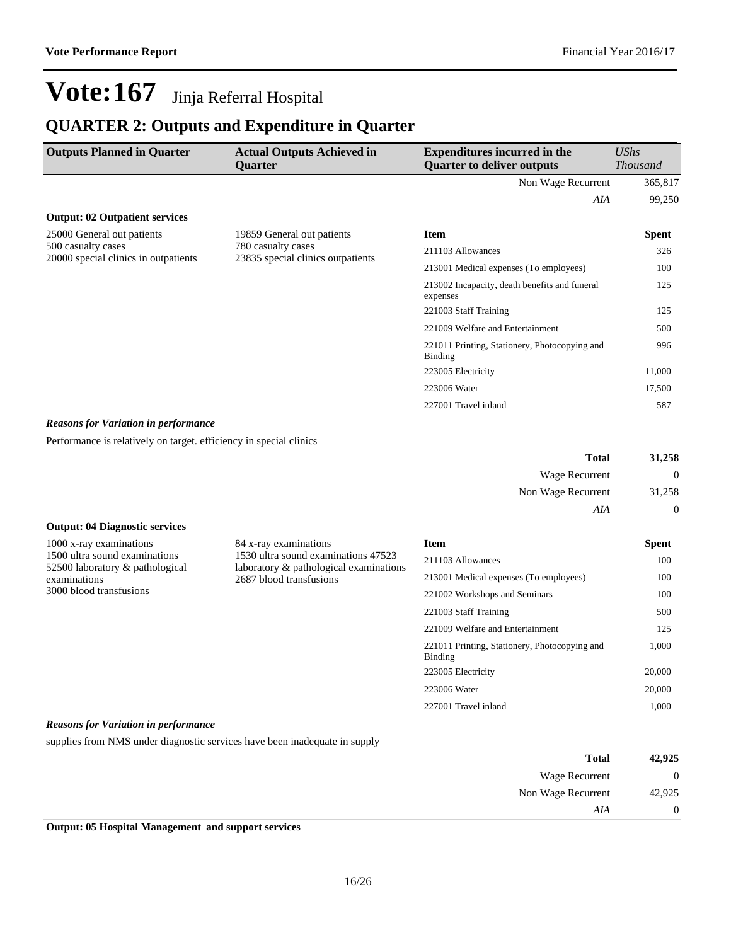### **QUARTER 2: Outputs and Expenditure in Quarter**

| <b>Outputs Planned in Quarter</b>                          | <b>Actual Outputs Achieved in</b><br><b>Ouarter</b>                                   | <b>Expenditures incurred in the</b><br><b>Quarter to deliver outputs</b> | UShs<br><b>Thousand</b> |
|------------------------------------------------------------|---------------------------------------------------------------------------------------|--------------------------------------------------------------------------|-------------------------|
|                                                            |                                                                                       | Non Wage Recurrent                                                       | 365,817                 |
|                                                            |                                                                                       | AIA                                                                      | 99,250                  |
| <b>Output: 02 Outpatient services</b>                      |                                                                                       |                                                                          |                         |
| 25000 General out patients                                 | 19859 General out patients<br>780 casualty cases<br>23835 special clinics outpatients | <b>Item</b>                                                              | Spent                   |
| 500 casualty cases<br>20000 special clinics in outpatients |                                                                                       | 211103 Allowances                                                        | 326                     |
|                                                            | 213001 Medical expenses (To employees)                                                | 100                                                                      |                         |
|                                                            |                                                                                       | 213002 Incapacity, death benefits and funeral<br>expenses                | 125                     |
|                                                            |                                                                                       | 221003 Staff Training                                                    | 125                     |
|                                                            |                                                                                       | 221009 Welfare and Entertainment                                         | 500                     |
|                                                            |                                                                                       | 221011 Printing, Stationery, Photocopying and<br>Binding                 | 996                     |
|                                                            |                                                                                       | 223005 Electricity                                                       | 11,000                  |
|                                                            |                                                                                       | 223006 Water                                                             | 17,500                  |
|                                                            |                                                                                       | 227001 Travel inland                                                     | 587                     |

#### *Reasons for Variation in performance*

Performance is relatively on target. efficiency in special clinics

| 31,258       | <b>Total</b>       |
|--------------|--------------------|
| $\mathbf{0}$ | Wage Recurrent     |
| 31,258       | Non Wage Recurrent |
| $\theta$     | AIA                |

### **Output: 04 Diagnostic services**

| 1000 x-ray examinations         |
|---------------------------------|
| 1500 ultra sound examinations   |
| 52500 laboratory & pathological |
| examinations                    |
| 3000 blood transfusions         |

84 x-ray examinations 1530 ultra sound examinations 47523 laboratory & pathological examinations 2687 blood transfusions

| <b>Item</b>                                              | Spent  |
|----------------------------------------------------------|--------|
| 211103 Allowances                                        | 100    |
| 213001 Medical expenses (To employees)                   | 100    |
| 221002 Workshops and Seminars                            | 100    |
| 221003 Staff Training                                    | 500    |
| 221009 Welfare and Entertainment                         | 125    |
| 221011 Printing, Stationery, Photocopying and<br>Binding | 1,000  |
| 223005 Electricity                                       | 20,000 |
| 223006 Water                                             | 20,000 |
| 227001 Travel inland                                     | 1.000  |

#### *Reasons for Variation in performance*

supplies from NMS under diagnostic services have been inadequate in supply

| 42,925         | <b>Total</b>       |
|----------------|--------------------|
| $\overline{0}$ | Wage Recurrent     |
| 42,925         | Non Wage Recurrent |
| 0              | AIA                |

**Output: 05 Hospital Management and support services**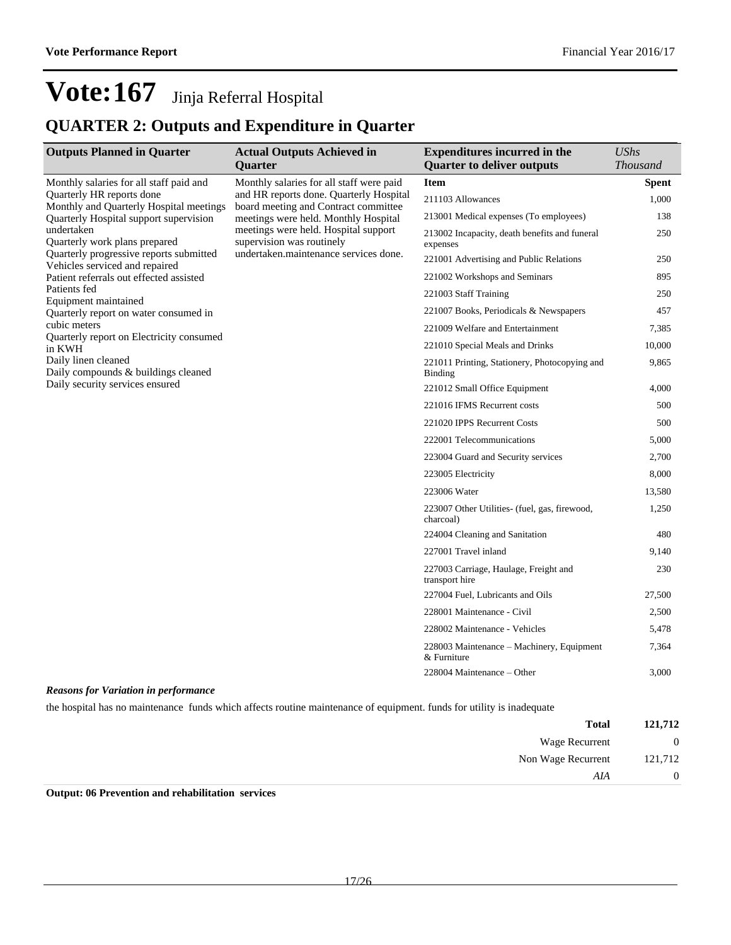### **QUARTER 2: Outputs and Expenditure in Quarter**

| <b>Outputs Planned in Quarter</b>                                                                                        | <b>Actual Outputs Achieved in</b>                                                                                                                  | <b>Expenditures incurred in the</b>                             | <b>UShs</b>     |
|--------------------------------------------------------------------------------------------------------------------------|----------------------------------------------------------------------------------------------------------------------------------------------------|-----------------------------------------------------------------|-----------------|
|                                                                                                                          | <b>Quarter</b>                                                                                                                                     | <b>Quarter to deliver outputs</b>                               | <b>Thousand</b> |
| Monthly salaries for all staff paid and                                                                                  | Monthly salaries for all staff were paid                                                                                                           | <b>Item</b>                                                     | <b>Spent</b>    |
| <b>Ouarterly HR</b> reports done<br>Monthly and Quarterly Hospital meetings                                              | and HR reports done. Quarterly Hospital<br>board meeting and Contract committee                                                                    | 211103 Allowances                                               | 1,000           |
| Quarterly Hospital support supervision                                                                                   | meetings were held. Monthly Hospital<br>meetings were held. Hospital support<br>supervision was routinely<br>undertaken.maintenance services done. | 213001 Medical expenses (To employees)                          | 138             |
| undertaken<br>Quarterly work plans prepared<br>Quarterly progressive reports submitted<br>Vehicles serviced and repaired |                                                                                                                                                    | 213002 Incapacity, death benefits and funeral<br>expenses       | 250             |
|                                                                                                                          |                                                                                                                                                    | 221001 Advertising and Public Relations                         | 250             |
| Patient referrals out effected assisted                                                                                  |                                                                                                                                                    | 221002 Workshops and Seminars                                   | 895             |
| Patients fed<br>Equipment maintained                                                                                     |                                                                                                                                                    | 221003 Staff Training                                           | 250             |
| Quarterly report on water consumed in                                                                                    |                                                                                                                                                    | 221007 Books, Periodicals & Newspapers                          | 457             |
| cubic meters                                                                                                             |                                                                                                                                                    | 221009 Welfare and Entertainment                                | 7,385           |
| Quarterly report on Electricity consumed<br>in KWH                                                                       |                                                                                                                                                    | 221010 Special Meals and Drinks                                 | 10,000          |
| Daily linen cleaned<br>Daily compounds & buildings cleaned                                                               |                                                                                                                                                    | 221011 Printing, Stationery, Photocopying and<br><b>Binding</b> | 9,865           |
| Daily security services ensured                                                                                          |                                                                                                                                                    | 221012 Small Office Equipment                                   | 4,000           |
|                                                                                                                          |                                                                                                                                                    | 221016 IFMS Recurrent costs                                     | 500             |
|                                                                                                                          |                                                                                                                                                    | 221020 IPPS Recurrent Costs                                     | 500             |
|                                                                                                                          |                                                                                                                                                    | 222001 Telecommunications                                       | 5,000           |
|                                                                                                                          |                                                                                                                                                    | 223004 Guard and Security services                              | 2,700           |
|                                                                                                                          |                                                                                                                                                    | 223005 Electricity                                              | 8,000           |
|                                                                                                                          |                                                                                                                                                    | 223006 Water                                                    | 13,580          |
|                                                                                                                          |                                                                                                                                                    | 223007 Other Utilities- (fuel, gas, firewood,<br>charcoal)      | 1,250           |
|                                                                                                                          |                                                                                                                                                    | 224004 Cleaning and Sanitation                                  | 480             |
|                                                                                                                          |                                                                                                                                                    | 227001 Travel inland                                            | 9,140           |
|                                                                                                                          |                                                                                                                                                    | 227003 Carriage, Haulage, Freight and<br>transport hire         | 230             |
|                                                                                                                          |                                                                                                                                                    | 227004 Fuel, Lubricants and Oils                                | 27,500          |
|                                                                                                                          |                                                                                                                                                    | 228001 Maintenance - Civil                                      | 2,500           |
|                                                                                                                          |                                                                                                                                                    | 228002 Maintenance - Vehicles                                   | 5,478           |
|                                                                                                                          |                                                                                                                                                    | 228003 Maintenance – Machinery, Equipment<br>& Furniture        | 7,364           |
|                                                                                                                          |                                                                                                                                                    | 228004 Maintenance - Other                                      | 3,000           |
| <b>Reasons for Variation in performance</b>                                                                              |                                                                                                                                                    |                                                                 |                 |

the hospital has no maintenance funds which affects routine maintenance of equipment. funds for utility is inadequate

| 121,712        | <b>Total</b>       |
|----------------|--------------------|
| $\mathbf{0}$   | Wage Recurrent     |
| 121,712        | Non Wage Recurrent |
| $\overline{0}$ | AIA                |
|                |                    |

#### **Output: 06 Prevention and rehabilitation services**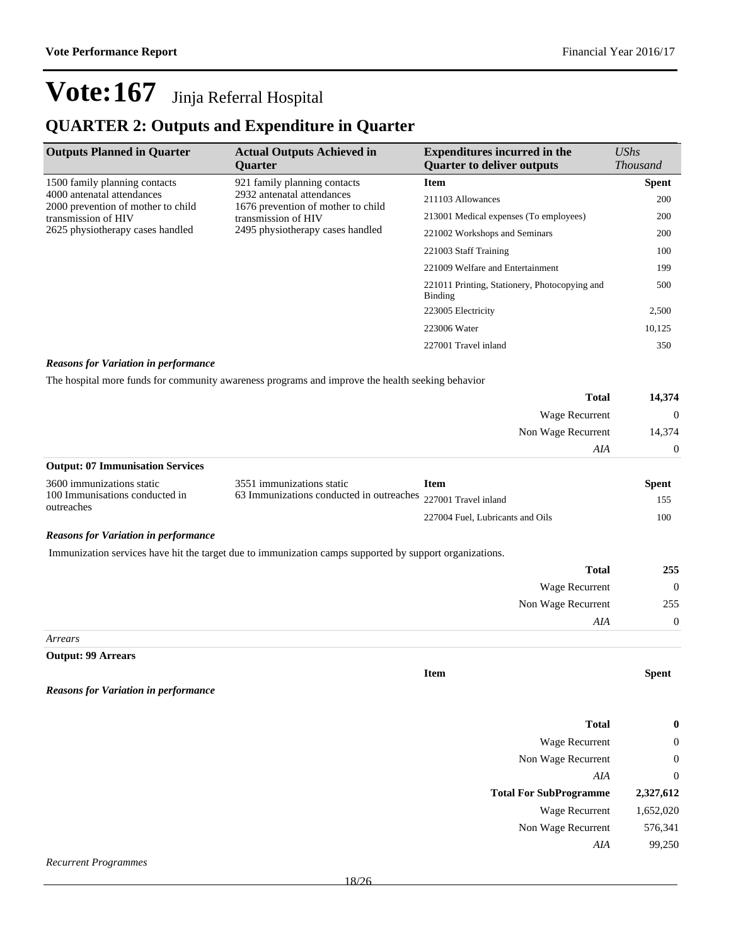### **QUARTER 2: Outputs and Expenditure in Quarter**

| <b>Outputs Planned in Quarter</b>                                | <b>Actual Outputs Achieved in</b><br><b>Ouarter</b>              | <b>Expenditures incurred in the</b><br><b>Ouarter to deliver outputs</b> | UShs<br><b>Thousand</b> |
|------------------------------------------------------------------|------------------------------------------------------------------|--------------------------------------------------------------------------|-------------------------|
| 1500 family planning contacts                                    | 921 family planning contacts                                     | <b>Item</b>                                                              | <b>Spent</b>            |
| 4000 antenatal attendances<br>2000 prevention of mother to child | 2932 antenatal attendances<br>1676 prevention of mother to child | 211103 Allowances                                                        | 200                     |
| transmission of HIV                                              | transmission of HIV                                              | 213001 Medical expenses (To employees)                                   | 200                     |
| 2625 physiotherapy cases handled                                 | 2495 physiotherapy cases handled                                 | 221002 Workshops and Seminars                                            | 200                     |
|                                                                  |                                                                  | 221003 Staff Training                                                    | 100                     |
|                                                                  |                                                                  | 221009 Welfare and Entertainment                                         | 199                     |
|                                                                  | 221011 Printing, Stationery, Photocopying and<br>Binding         | 500                                                                      |                         |
|                                                                  |                                                                  | 223005 Electricity                                                       | 2,500                   |
|                                                                  |                                                                  | 223006 Water                                                             | 10,125                  |
|                                                                  |                                                                  | 227001 Travel inland                                                     | 350                     |

#### *Reasons for Variation in performance*

The hospital more funds for community awareness programs and improve the health seeking behavior

| <b>Total</b>                            | 14,374         |
|-----------------------------------------|----------------|
| Wage Recurrent                          | $\overline{0}$ |
| Non Wage Recurrent                      | 14,374         |
| AIA                                     | $\overline{0}$ |
| <b>Output: 07 Immunisation Services</b> |                |

| 3600 immunizations static                    | 3551 immunizations static                                     | Item                             | Spent |
|----------------------------------------------|---------------------------------------------------------------|----------------------------------|-------|
| 100 Immunisations conducted in<br>outreaches | 63 Immunizations conducted in outreaches 227001 Travel inland |                                  | 155   |
|                                              |                                                               | 227004 Fuel. Lubricants and Oils | 100-  |

#### *Reasons for Variation in performance*

Immunization services have hit the target due to immunization camps supported by support organizations.

| 255      | <b>Total</b>          |  |
|----------|-----------------------|--|
| $\theta$ | <b>Wage Recurrent</b> |  |
| 255      | Non Wage Recurrent    |  |
| $\theta$ | AIA                   |  |
|          | $\bm{A}$              |  |

#### *Arrears*

**Output: 99 Arrears**

*Reasons for Variation in performance*

| <b>Total</b>                  | $\bf{0}$  |
|-------------------------------|-----------|
| Wage Recurrent                | $\theta$  |
| Non Wage Recurrent            | $\theta$  |
| AIA                           | $\Omega$  |
|                               |           |
| <b>Total For SubProgramme</b> | 2,327,612 |
| Wage Recurrent                | 1,652,020 |
| Non Wage Recurrent            | 576,341   |
| AIA                           | 99,250    |

**Item Spent**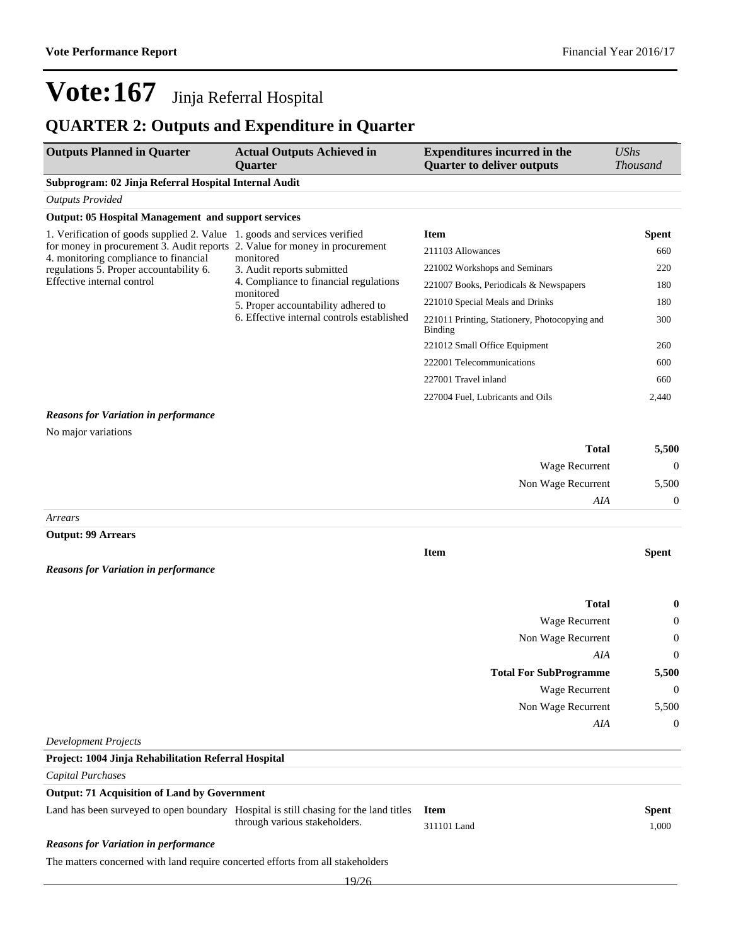### **QUARTER 2: Outputs and Expenditure in Quarter**

| <b>Outputs Planned in Quarter</b>                                                                                    | <b>Actual Outputs Achieved in</b><br><b>Quarter</b> | <b>Expenditures incurred in the</b><br><b>Quarter to deliver outputs</b> | <b>UShs</b><br><b>Thousand</b> |
|----------------------------------------------------------------------------------------------------------------------|-----------------------------------------------------|--------------------------------------------------------------------------|--------------------------------|
| Subprogram: 02 Jinja Referral Hospital Internal Audit                                                                |                                                     |                                                                          |                                |
| <b>Outputs Provided</b>                                                                                              |                                                     |                                                                          |                                |
| <b>Output: 05 Hospital Management and support services</b>                                                           |                                                     |                                                                          |                                |
| 1. Verification of goods supplied 2. Value 1. goods and services verified                                            |                                                     | <b>Item</b>                                                              | Spent                          |
| for money in procurement 3. Audit reports 2. Value for money in procurement<br>4. monitoring compliance to financial | monitored                                           | 211103 Allowances                                                        | 660                            |
| regulations 5. Proper accountability 6.                                                                              | 3. Audit reports submitted                          | 221002 Workshops and Seminars                                            | 220                            |
| Effective internal control                                                                                           | 4. Compliance to financial regulations              | 221007 Books, Periodicals & Newspapers                                   | 180                            |
|                                                                                                                      | monitored<br>5. Proper accountability adhered to    | 221010 Special Meals and Drinks                                          | 180                            |
|                                                                                                                      | 6. Effective internal controls established          | 221011 Printing, Stationery, Photocopying and<br><b>Binding</b>          | 300                            |
|                                                                                                                      |                                                     | 221012 Small Office Equipment                                            | 260                            |
|                                                                                                                      |                                                     | 222001 Telecommunications                                                | 600                            |
|                                                                                                                      |                                                     | 227001 Travel inland                                                     | 660                            |
|                                                                                                                      |                                                     | 227004 Fuel, Lubricants and Oils                                         | 2,440                          |
| <b>Reasons for Variation in performance</b>                                                                          |                                                     |                                                                          |                                |
| No major variations                                                                                                  |                                                     |                                                                          |                                |
|                                                                                                                      |                                                     | <b>Total</b>                                                             | 5,500                          |
|                                                                                                                      |                                                     | Wage Recurrent                                                           | $\theta$                       |
|                                                                                                                      |                                                     | Non Wage Recurrent                                                       | 5,500                          |
|                                                                                                                      |                                                     | AIA                                                                      | $\theta$                       |
| Arrears                                                                                                              |                                                     |                                                                          |                                |
| <b>Output: 99 Arrears</b>                                                                                            |                                                     |                                                                          |                                |
| <b>Reasons for Variation in performance</b>                                                                          |                                                     | <b>Item</b>                                                              | <b>Spent</b>                   |
|                                                                                                                      |                                                     |                                                                          |                                |
|                                                                                                                      |                                                     | <b>Total</b>                                                             | $\bf{0}$                       |
|                                                                                                                      |                                                     | Wage Recurrent                                                           | 0                              |
|                                                                                                                      |                                                     | Non Wage Recurrent                                                       | 0                              |
|                                                                                                                      |                                                     | AIA                                                                      | $\boldsymbol{0}$               |
|                                                                                                                      |                                                     | <b>Total For SubProgramme</b>                                            | 5,500                          |
|                                                                                                                      |                                                     | Wage Recurrent                                                           | $\boldsymbol{0}$               |
|                                                                                                                      |                                                     | Non Wage Recurrent                                                       | 5,500                          |
|                                                                                                                      |                                                     | AIA                                                                      | $\boldsymbol{0}$               |
| <b>Development Projects</b>                                                                                          |                                                     |                                                                          |                                |
| Project: 1004 Jinja Rehabilitation Referral Hospital                                                                 |                                                     |                                                                          |                                |
| <b>Capital Purchases</b>                                                                                             |                                                     |                                                                          |                                |
| <b>Output: 71 Acquisition of Land by Government</b>                                                                  |                                                     |                                                                          |                                |
| Land has been surveyed to open boundary Hospital is still chasing for the land titles                                | through various stakeholders.                       | <b>Item</b><br>311101 Land                                               | <b>Spent</b><br>1,000          |
| <b>Reasons for Variation in performance</b>                                                                          |                                                     |                                                                          |                                |
| The matters concerned with land require concerted efforts from all stakeholders                                      |                                                     |                                                                          |                                |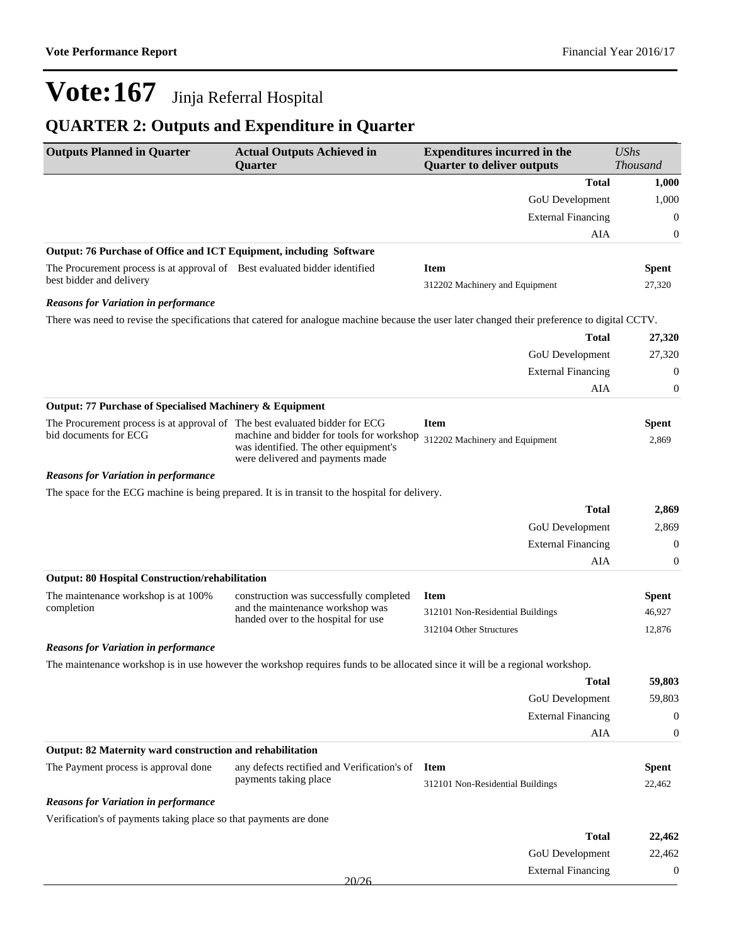### **QUARTER 2: Outputs and Expenditure in Quarter**

| <b>Outputs Planned in Quarter</b>                                           | <b>Actual Outputs Achieved in</b><br><b>Ouarter</b>                                                                          | <b>Expenditures incurred in the</b><br><b>Quarter to deliver outputs</b>                                                                       | <b>UShs</b><br><b>Thousand</b> |
|-----------------------------------------------------------------------------|------------------------------------------------------------------------------------------------------------------------------|------------------------------------------------------------------------------------------------------------------------------------------------|--------------------------------|
|                                                                             |                                                                                                                              | <b>Total</b>                                                                                                                                   | 1,000                          |
|                                                                             |                                                                                                                              | GoU Development                                                                                                                                | 1,000                          |
|                                                                             |                                                                                                                              | <b>External Financing</b>                                                                                                                      | $\boldsymbol{0}$               |
|                                                                             |                                                                                                                              | AIA                                                                                                                                            | 0                              |
| Output: 76 Purchase of Office and ICT Equipment, including Software         |                                                                                                                              |                                                                                                                                                |                                |
| The Procurement process is at approval of Best evaluated bidder identified  |                                                                                                                              | <b>Item</b>                                                                                                                                    | <b>Spent</b>                   |
| best bidder and delivery                                                    |                                                                                                                              | 312202 Machinery and Equipment                                                                                                                 | 27,320                         |
| <b>Reasons for Variation in performance</b>                                 |                                                                                                                              |                                                                                                                                                |                                |
|                                                                             |                                                                                                                              | There was need to revise the specifications that catered for analogue machine because the user later changed their preference to digital CCTV. |                                |
|                                                                             |                                                                                                                              | <b>Total</b>                                                                                                                                   | 27,320                         |
|                                                                             |                                                                                                                              | GoU Development                                                                                                                                | 27,320                         |
|                                                                             |                                                                                                                              | <b>External Financing</b>                                                                                                                      | $\boldsymbol{0}$               |
|                                                                             |                                                                                                                              | AIA                                                                                                                                            | 0                              |
| Output: 77 Purchase of Specialised Machinery & Equipment                    |                                                                                                                              |                                                                                                                                                |                                |
| The Procurement process is at approval of The best evaluated bidder for ECG |                                                                                                                              | <b>Item</b>                                                                                                                                    | <b>Spent</b>                   |
| bid documents for ECG                                                       | machine and bidder for tools for workshop<br>was identified. The other equipment's<br>were delivered and payments made       | 312202 Machinery and Equipment                                                                                                                 | 2,869                          |
| <b>Reasons for Variation in performance</b>                                 |                                                                                                                              |                                                                                                                                                |                                |
|                                                                             | The space for the ECG machine is being prepared. It is in transit to the hospital for delivery.                              |                                                                                                                                                |                                |
|                                                                             |                                                                                                                              | <b>Total</b>                                                                                                                                   | 2,869                          |
|                                                                             |                                                                                                                              | GoU Development                                                                                                                                | 2,869                          |
|                                                                             |                                                                                                                              | <b>External Financing</b>                                                                                                                      | $\boldsymbol{0}$               |
|                                                                             |                                                                                                                              | AIA                                                                                                                                            | 0                              |
| <b>Output: 80 Hospital Construction/rehabilitation</b>                      |                                                                                                                              |                                                                                                                                                |                                |
| The maintenance workshop is at 100%                                         | construction was successfully completed                                                                                      | <b>Item</b>                                                                                                                                    | <b>Spent</b>                   |
| completion                                                                  | and the maintenance workshop was<br>handed over to the hospital for use                                                      | 312101 Non-Residential Buildings                                                                                                               | 46,927                         |
|                                                                             |                                                                                                                              | 312104 Other Structures                                                                                                                        | 12,876                         |
| <b>Reasons for Variation in performance</b>                                 |                                                                                                                              |                                                                                                                                                |                                |
|                                                                             | The maintenance workshop is in use however the workshop requires funds to be allocated since it will be a regional workshop. |                                                                                                                                                |                                |
|                                                                             |                                                                                                                              | Total                                                                                                                                          | 59,803                         |
|                                                                             |                                                                                                                              | <b>GoU</b> Development                                                                                                                         | 59,803                         |
|                                                                             |                                                                                                                              | <b>External Financing</b>                                                                                                                      | $\theta$                       |
|                                                                             |                                                                                                                              | AIA                                                                                                                                            | 0                              |
| Output: 82 Maternity ward construction and rehabilitation                   |                                                                                                                              |                                                                                                                                                |                                |
| The Payment process is approval done                                        | any defects rectified and Verification's of                                                                                  | <b>Item</b>                                                                                                                                    | <b>Spent</b>                   |
|                                                                             | payments taking place                                                                                                        | 312101 Non-Residential Buildings                                                                                                               | 22,462                         |
| <b>Reasons for Variation in performance</b>                                 |                                                                                                                              |                                                                                                                                                |                                |
| Verification's of payments taking place so that payments are done           |                                                                                                                              |                                                                                                                                                |                                |
|                                                                             |                                                                                                                              | <b>Total</b>                                                                                                                                   | 22,462                         |
|                                                                             |                                                                                                                              | <b>GoU</b> Development                                                                                                                         | 22,462                         |
|                                                                             |                                                                                                                              | <b>External Financing</b>                                                                                                                      | 0                              |
|                                                                             | 20/26                                                                                                                        |                                                                                                                                                |                                |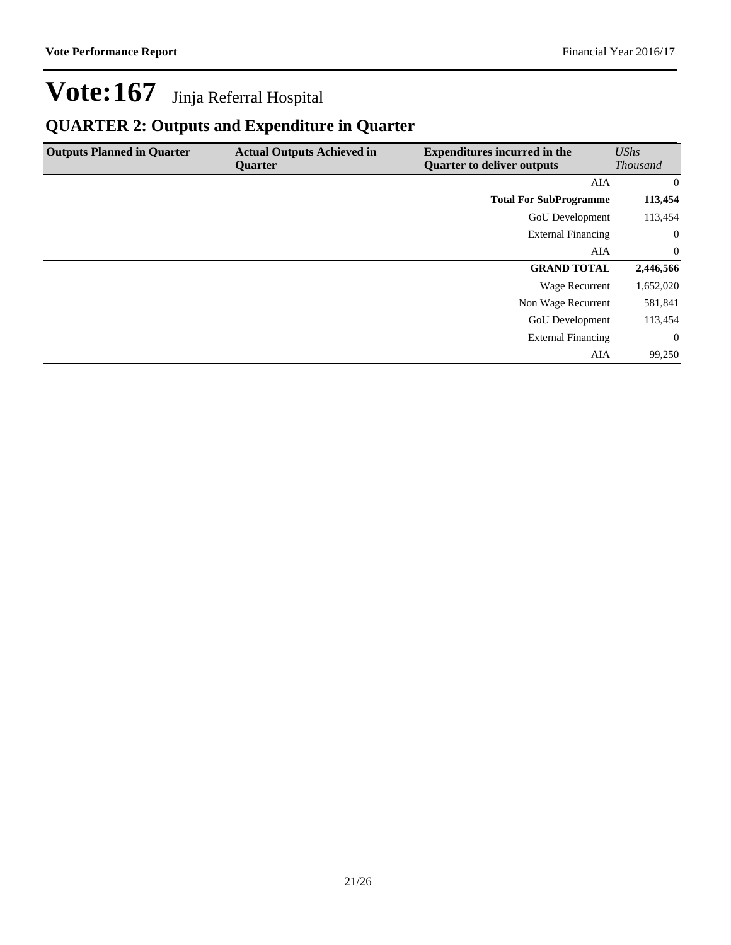### **QUARTER 2: Outputs and Expenditure in Quarter**

| <b>Outputs Planned in Quarter</b> | <b>Actual Outputs Achieved in</b><br><b>Ouarter</b> | <b>Expenditures incurred in the</b><br><b>Quarter to deliver outputs</b> | UShs<br><b>Thousand</b> |
|-----------------------------------|-----------------------------------------------------|--------------------------------------------------------------------------|-------------------------|
|                                   |                                                     | AIA                                                                      | $\overline{0}$          |
|                                   |                                                     | <b>Total For SubProgramme</b>                                            | 113,454                 |
|                                   |                                                     | <b>GoU</b> Development                                                   | 113,454                 |
|                                   |                                                     | <b>External Financing</b>                                                | $\overline{0}$          |
|                                   |                                                     | AIA                                                                      | $\overline{0}$          |
|                                   |                                                     | <b>GRAND TOTAL</b>                                                       | 2,446,566               |
|                                   |                                                     | Wage Recurrent                                                           | 1,652,020               |
|                                   |                                                     | Non Wage Recurrent                                                       | 581,841                 |
|                                   |                                                     | <b>GoU</b> Development                                                   | 113,454                 |
|                                   |                                                     | <b>External Financing</b>                                                | $\overline{0}$          |
|                                   |                                                     | AIA                                                                      | 99,250                  |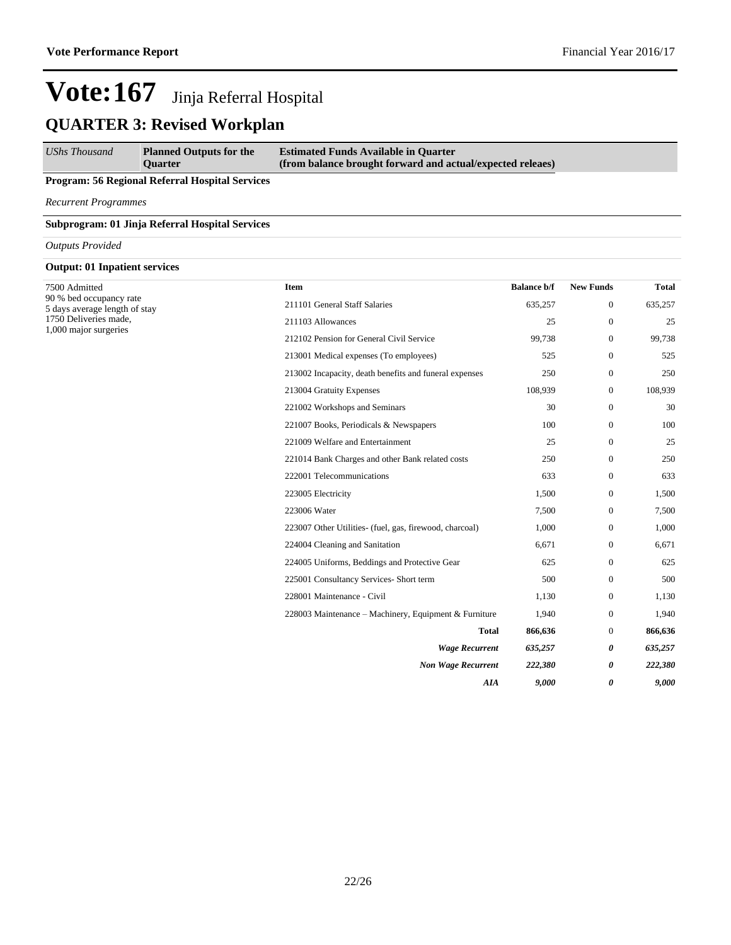#### *UShs Thousand* **Planned Outputs for the Quarter Estimated Funds Available in Quarter (from balance brought forward and actual/expected releaes)**

### **Program: 56 Regional Referral Hospital Services**

*Recurrent Programmes*

#### **Subprogram: 01 Jinja Referral Hospital Services**

*Outputs Provided*

### **Output: 01 Inpatient services**

| 7500 Admitted                                            | Item                                                    | <b>Balance b/f</b> | <b>New Funds</b> | <b>Total</b> |
|----------------------------------------------------------|---------------------------------------------------------|--------------------|------------------|--------------|
| 90 % bed occupancy rate<br>5 days average length of stay | 211101 General Staff Salaries                           | 635,257            | $\boldsymbol{0}$ | 635,257      |
| 1750 Deliveries made,<br>1,000 major surgeries           | 211103 Allowances                                       | 25                 | $\boldsymbol{0}$ | 25           |
|                                                          | 212102 Pension for General Civil Service                | 99,738             | $\boldsymbol{0}$ | 99,738       |
|                                                          | 213001 Medical expenses (To employees)                  | 525                | $\boldsymbol{0}$ | 525          |
|                                                          | 213002 Incapacity, death benefits and funeral expenses  | 250                | $\boldsymbol{0}$ | 250          |
|                                                          | 213004 Gratuity Expenses                                | 108,939            | 0                | 108,939      |
|                                                          | 221002 Workshops and Seminars                           | 30                 | $\boldsymbol{0}$ | 30           |
|                                                          | 221007 Books, Periodicals & Newspapers                  | 100                | $\mathbf{0}$     | 100          |
|                                                          | 221009 Welfare and Entertainment                        | 25                 | $\mathbf{0}$     | 25           |
|                                                          | 221014 Bank Charges and other Bank related costs        | 250                | $\boldsymbol{0}$ | 250          |
|                                                          | 222001 Telecommunications                               | 633                | $\boldsymbol{0}$ | 633          |
|                                                          | 223005 Electricity                                      | 1,500              | $\boldsymbol{0}$ | 1,500        |
|                                                          | 223006 Water                                            | 7,500              | $\boldsymbol{0}$ | 7,500        |
|                                                          | 223007 Other Utilities- (fuel, gas, firewood, charcoal) | 1,000              | $\mathbf{0}$     | 1,000        |
|                                                          | 224004 Cleaning and Sanitation                          | 6,671              | $\mathbf{0}$     | 6,671        |
|                                                          | 224005 Uniforms, Beddings and Protective Gear           | 625                | $\mathbf{0}$     | 625          |
|                                                          | 225001 Consultancy Services- Short term                 | 500                | $\boldsymbol{0}$ | 500          |
|                                                          | 228001 Maintenance - Civil                              | 1,130              | $\boldsymbol{0}$ | 1,130        |
|                                                          | 228003 Maintenance – Machinery, Equipment & Furniture   | 1,940              | 0                | 1,940        |
|                                                          | <b>Total</b>                                            | 866,636            | $\overline{0}$   | 866,636      |
| <b>Wage Recurrent</b>                                    |                                                         | 635,257            | 0                | 635,257      |
|                                                          | <b>Non Wage Recurrent</b>                               | 222,380            | 0                | 222,380      |
|                                                          | AIA                                                     | 9,000              | 0                | 9,000        |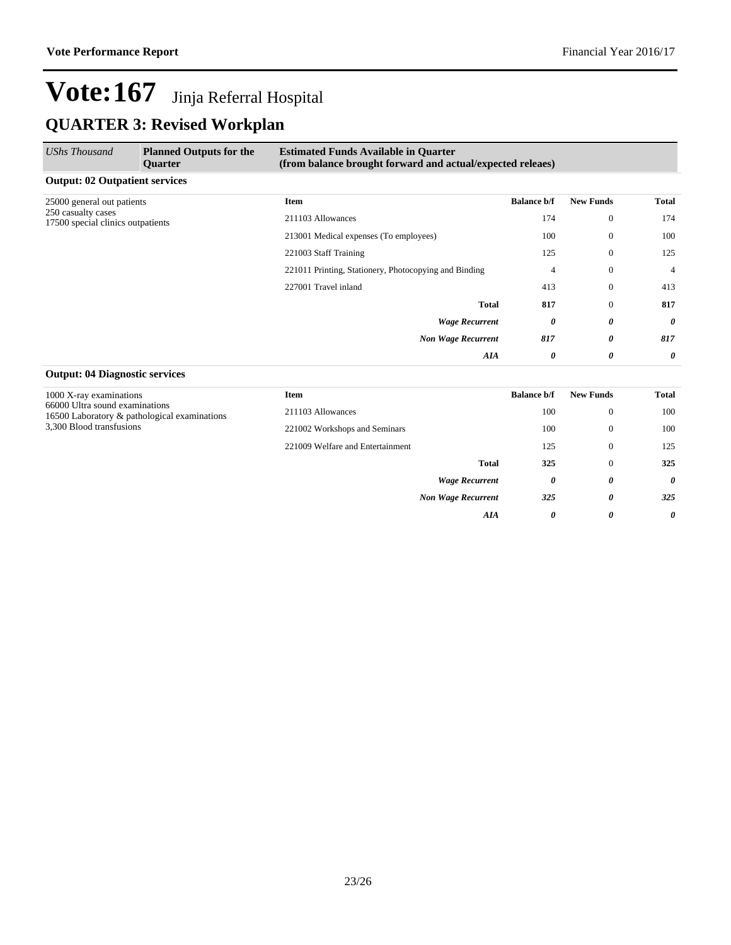| UShs Thousand                                           | <b>Planned Outputs for the</b><br><b>Quarter</b> | <b>Estimated Funds Available in Quarter</b><br>(from balance brought forward and actual/expected releaes) |                       |                  |                |
|---------------------------------------------------------|--------------------------------------------------|-----------------------------------------------------------------------------------------------------------|-----------------------|------------------|----------------|
| <b>Output: 02 Outpatient services</b>                   |                                                  |                                                                                                           |                       |                  |                |
| 25000 general out patients                              |                                                  | <b>Item</b>                                                                                               | <b>Balance b/f</b>    | <b>New Funds</b> | Total          |
| 250 casualty cases<br>17500 special clinics outpatients | 211103 Allowances                                | 174                                                                                                       | $\overline{0}$        | 174              |                |
|                                                         | 213001 Medical expenses (To employees)           | 100                                                                                                       | $\theta$              | 100              |                |
|                                                         |                                                  | 221003 Staff Training                                                                                     | 125                   | $\theta$         | 125            |
|                                                         |                                                  | 221011 Printing, Stationery, Photocopying and Binding                                                     | 4                     | $\theta$         | $\overline{4}$ |
|                                                         |                                                  | 227001 Travel inland                                                                                      | 413                   | $\Omega$         | 413            |
|                                                         |                                                  | <b>Total</b>                                                                                              | 817                   | $\Omega$         | 817            |
|                                                         |                                                  | <b>Wage Recurrent</b>                                                                                     | 0                     | 0                | 0              |
|                                                         |                                                  | <b>Non Wage Recurrent</b>                                                                                 | 817                   | 0                | 817            |
|                                                         |                                                  | AIA                                                                                                       | $\boldsymbol{\theta}$ | 0                | 0              |

### **Output: 04 Diagnostic services**

| 1000 X-ray examinations                                                                                    | Item                             | <b>Balance b/f</b> | <b>New Funds</b> | <b>Total</b> |
|------------------------------------------------------------------------------------------------------------|----------------------------------|--------------------|------------------|--------------|
| 66000 Ultra sound examinations<br>16500 Laboratory & pathological examinations<br>3,300 Blood transfusions | 211103 Allowances                | 100                | $\mathbf{0}$     | 100          |
|                                                                                                            | 221002 Workshops and Seminars    | 100                | $\mathbf{0}$     | 100          |
|                                                                                                            | 221009 Welfare and Entertainment | 125                | $\mathbf{0}$     | 125          |
|                                                                                                            | <b>Total</b>                     | 325                | $\mathbf{0}$     | 325          |
|                                                                                                            | <b>Wage Recurrent</b>            | 0                  | 0                | $\theta$     |
|                                                                                                            | <b>Non Wage Recurrent</b>        | 325                | 0                | 325          |
|                                                                                                            | AIA                              | $\theta$           | 0                | $\theta$     |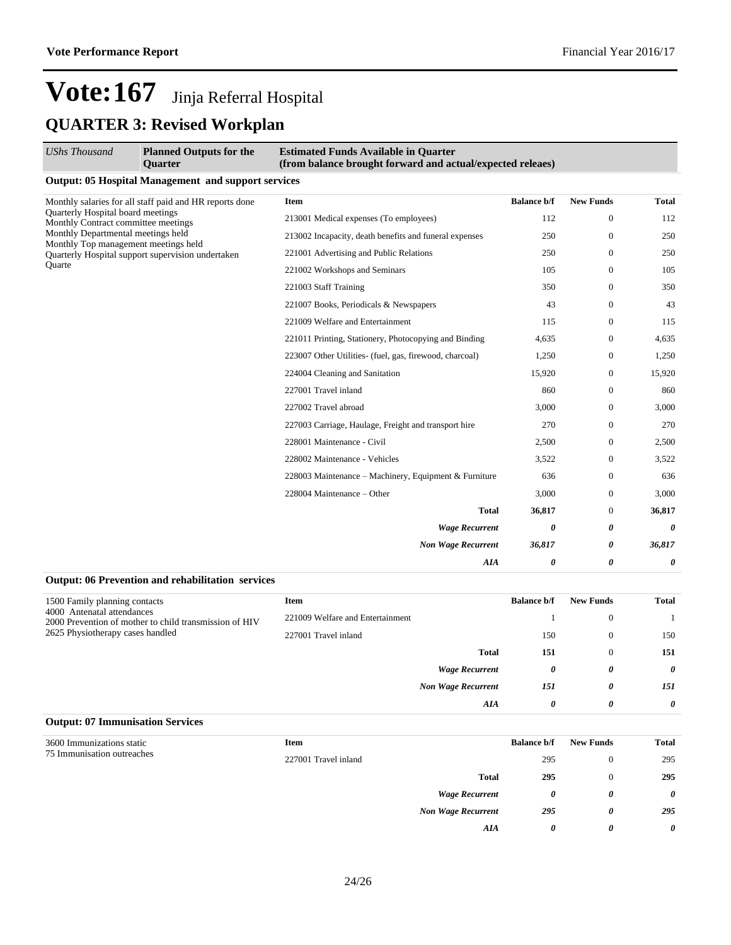| <b>UShs Thousand</b>                                                       | <b>Planned Outputs for the</b><br><b>Ouarter</b>           | <b>Estimated Funds Available in Quarter</b><br>(from balance brought forward and actual/expected releaes) |                    |                  |                       |
|----------------------------------------------------------------------------|------------------------------------------------------------|-----------------------------------------------------------------------------------------------------------|--------------------|------------------|-----------------------|
|                                                                            | <b>Output: 05 Hospital Management and support services</b> |                                                                                                           |                    |                  |                       |
|                                                                            | Monthly salaries for all staff paid and HR reports done    | Item                                                                                                      | <b>Balance b/f</b> | <b>New Funds</b> | <b>Total</b>          |
| Quarterly Hospital board meetings<br>Monthly Contract committee meetings   |                                                            | 213001 Medical expenses (To employees)                                                                    | 112                | $\mathbf{0}$     | 112                   |
| Monthly Departmental meetings held<br>Monthly Top management meetings held |                                                            | 213002 Incapacity, death benefits and funeral expenses                                                    | 250                | $\mathbf{0}$     | 250                   |
|                                                                            | Quarterly Hospital support supervision undertaken          | 221001 Advertising and Public Relations                                                                   | 250                | $\mathbf{0}$     | 250                   |
| Ouarte                                                                     |                                                            | 221002 Workshops and Seminars                                                                             | 105                | $\mathbf{0}$     | 105                   |
|                                                                            |                                                            | 221003 Staff Training                                                                                     | 350                | $\mathbf{0}$     | 350                   |
|                                                                            |                                                            | 221007 Books, Periodicals & Newspapers                                                                    | 43                 | $\mathbf{0}$     | 43                    |
|                                                                            | 221009 Welfare and Entertainment                           | 115                                                                                                       | $\mathbf{0}$       | 115              |                       |
|                                                                            | 221011 Printing, Stationery, Photocopying and Binding      | 4,635                                                                                                     | $\mathbf{0}$       | 4,635            |                       |
|                                                                            | 223007 Other Utilities- (fuel, gas, firewood, charcoal)    | 1,250                                                                                                     | $\boldsymbol{0}$   | 1,250            |                       |
|                                                                            |                                                            | 224004 Cleaning and Sanitation                                                                            | 15,920             | $\mathbf{0}$     | 15,920                |
|                                                                            |                                                            | 227001 Travel inland                                                                                      | 860                | $\mathbf{0}$     | 860                   |
|                                                                            |                                                            | 227002 Travel abroad                                                                                      | 3,000              | $\mathbf{0}$     | 3,000                 |
|                                                                            |                                                            | 227003 Carriage, Haulage, Freight and transport hire                                                      | 270                | $\mathbf{0}$     | 270                   |
|                                                                            |                                                            | 228001 Maintenance - Civil                                                                                | 2,500              | $\mathbf{0}$     | 2,500                 |
|                                                                            |                                                            | 228002 Maintenance - Vehicles                                                                             | 3,522              | $\overline{0}$   | 3,522                 |
|                                                                            |                                                            | 228003 Maintenance – Machinery, Equipment & Furniture                                                     | 636                | $\mathbf{0}$     | 636                   |
|                                                                            |                                                            | 228004 Maintenance - Other                                                                                | 3,000              | $\overline{0}$   | 3,000                 |
|                                                                            |                                                            | <b>Total</b>                                                                                              | 36,817             | $\mathbf{0}$     | 36,817                |
|                                                                            |                                                            | <b>Wage Recurrent</b>                                                                                     | 0                  | 0                | $\boldsymbol{\theta}$ |
|                                                                            |                                                            | <b>Non Wage Recurrent</b>                                                                                 | 36,817             | 0                | 36,817                |
|                                                                            |                                                            | AIA                                                                                                       | 0                  | 0                | $\theta$              |

### **Output: 06 Prevention and rehabilitation services**

| 1500 Family planning contacts                                                                                            | <b>Item</b>                      |                           | <b>Balance b/f</b> | <b>New Funds</b> | Total    |
|--------------------------------------------------------------------------------------------------------------------------|----------------------------------|---------------------------|--------------------|------------------|----------|
| 4000 Antenatal attendances<br>2000 Prevention of mother to child transmission of HIV<br>2625 Physiotherapy cases handled | 221009 Welfare and Entertainment |                           |                    | $\theta$         |          |
|                                                                                                                          | 227001 Travel inland             |                           | 150                | $\theta$         | 150      |
|                                                                                                                          |                                  | <b>Total</b>              | 151                | $\Omega$         | 151      |
|                                                                                                                          |                                  | <b>Wage Recurrent</b>     | $\theta$           | 0                | $\theta$ |
|                                                                                                                          |                                  | <b>Non Wage Recurrent</b> | 151                | 0                | 151      |
|                                                                                                                          |                                  | AIA                       | 0                  | 0                | 0        |

### **Output: 07 Immunisation Services**

|                                                         |                      |                           |                    | <b>New Funds</b> |                       |
|---------------------------------------------------------|----------------------|---------------------------|--------------------|------------------|-----------------------|
| 3600 Immunizations static<br>75 Immunisation outreaches | Item                 |                           | <b>Balance b/f</b> |                  | <b>Total</b>          |
|                                                         | 227001 Travel inland |                           | 295                | $\Omega$         | 295                   |
|                                                         |                      | <b>Total</b>              | 295                | $\Omega$         | 295                   |
|                                                         |                      | <b>Wage Recurrent</b>     | 0                  | 0                | $\boldsymbol{\theta}$ |
|                                                         |                      | <b>Non Wage Recurrent</b> | 295                | 0                | 295                   |
|                                                         |                      | AIA                       | $\theta$           | 0                | $\theta$              |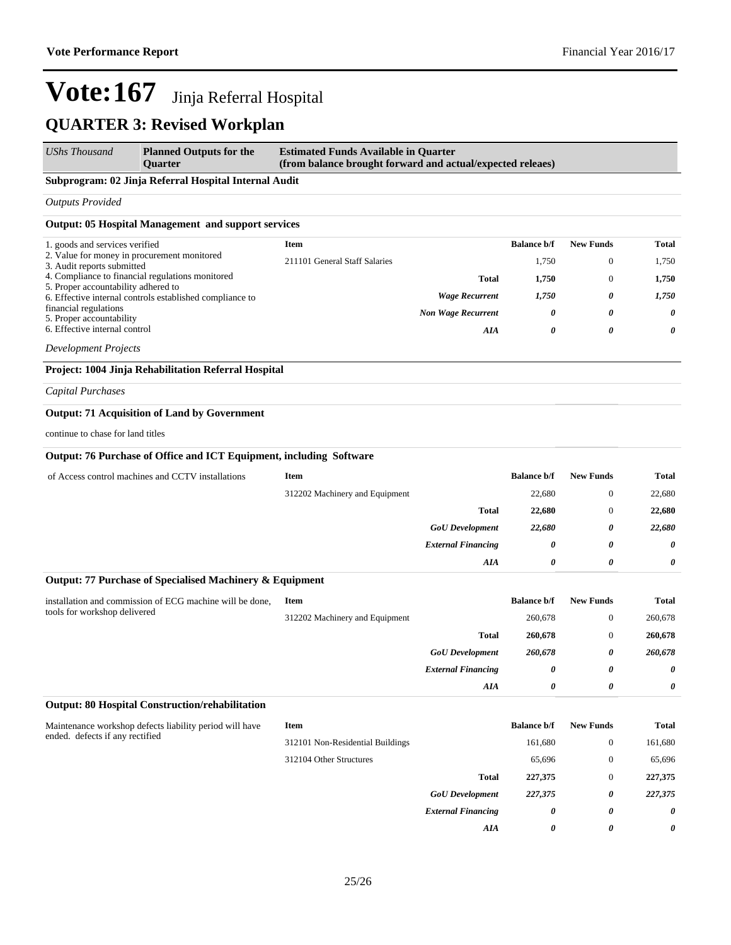### **QUARTER 3: Revised Workplan**

| <b>UShs Thousand</b> | <b>Planned Outputs for the</b> | <b>Estimated Funds Available in Quarter</b>                |
|----------------------|--------------------------------|------------------------------------------------------------|
|                      | <b>Ouarter</b>                 | (from balance brought forward and actual/expected releaes) |

### **Subprogram: 02 Jinja Referral Hospital Internal Audit**

*Outputs Provided*

### **Output: 05 Hospital Management and support services**

| 1. goods and services verified                                            | Item                          |                           | <b>Balance b/f</b> | <b>New Funds</b> | Total |
|---------------------------------------------------------------------------|-------------------------------|---------------------------|--------------------|------------------|-------|
| 2. Value for money in procurement monitored<br>3. Audit reports submitted | 211101 General Staff Salaries |                           | 1.750              | $\Omega$         | 1,750 |
| 4. Compliance to financial regulations monitored                          |                               | <b>Total</b>              | 1.750              | $\Omega$         | 1.750 |
| 5. Proper accountability adhered to                                       |                               |                           |                    |                  |       |
| 6. Effective internal controls established compliance to                  |                               | <b>Wage Recurrent</b>     | 1.750              | $\theta$         | 1.750 |
| financial regulations<br>5. Proper accountability                         |                               | <b>Non Wage Recurrent</b> | 0                  | 0                | 0     |
| 6. Effective internal control                                             |                               | AIA                       | 0                  | 0                | 0     |
|                                                                           |                               |                           |                    |                  |       |

*Development Projects*

### **Project: 1004 Jinja Rehabilitation Referral Hospital**

*Capital Purchases*

### **Output: 71 Acquisition of Land by Government**

continue to chase for land titles

#### **Output: 76 Purchase of Office and ICT Equipment, including Software**

| of Access control machines and CCTV installations | Item                           | <b>Balance b/f</b> | <b>New Funds</b> | <b>Total</b> |
|---------------------------------------------------|--------------------------------|--------------------|------------------|--------------|
|                                                   | 312202 Machinery and Equipment | 22,680             | 0                | 22,680       |
|                                                   | <b>Total</b>                   | 22,680             | 0                | 22,680       |
|                                                   | <b>GoU</b> Development         | 22,680             | 0                | 22,680       |
|                                                   | <b>External Financing</b>      | 0                  | $\theta$         | 0            |
|                                                   | AIA                            | 0                  | 0                | 0            |

#### **Output: 77 Purchase of Specialised Machinery & Equipment**

| installation and commission of ECG machine will be done,<br>tools for workshop delivered | Item                           |                           | <b>Balance b/f</b> | <b>New Funds</b> | <b>Total</b> |
|------------------------------------------------------------------------------------------|--------------------------------|---------------------------|--------------------|------------------|--------------|
|                                                                                          | 312202 Machinery and Equipment |                           | 260,678            | $\mathbf{0}$     | 260,678      |
|                                                                                          |                                | <b>Total</b>              | 260,678            | $\mathbf{0}$     | 260,678      |
|                                                                                          |                                | <b>GoU</b> Development    | 260,678            | 0                | 260,678      |
|                                                                                          |                                | <b>External Financing</b> | 0                  | 0                | $\theta$     |
|                                                                                          |                                | AIA                       | 0                  | 0                | 0            |

#### **Output: 80 Hospital Construction/rehabilitation**

| Maintenance workshop defects liability period will have<br>ended. defects if any rectified | Item                             |                           | <b>Balance b/f</b> | <b>New Funds</b> | Total   |
|--------------------------------------------------------------------------------------------|----------------------------------|---------------------------|--------------------|------------------|---------|
|                                                                                            | 312101 Non-Residential Buildings |                           | 161,680            | $\overline{0}$   | 161,680 |
|                                                                                            | 312104 Other Structures          |                           | 65,696             | $\overline{0}$   | 65,696  |
|                                                                                            |                                  | <b>Total</b>              | 227,375            | $\overline{0}$   | 227,375 |
|                                                                                            |                                  | <b>GoU</b> Development    | 227,375            | 0                | 227,375 |
|                                                                                            |                                  | <b>External Financing</b> | 0                  | 0                | 0       |
|                                                                                            |                                  | AIA                       | 0                  | 0                | 0       |